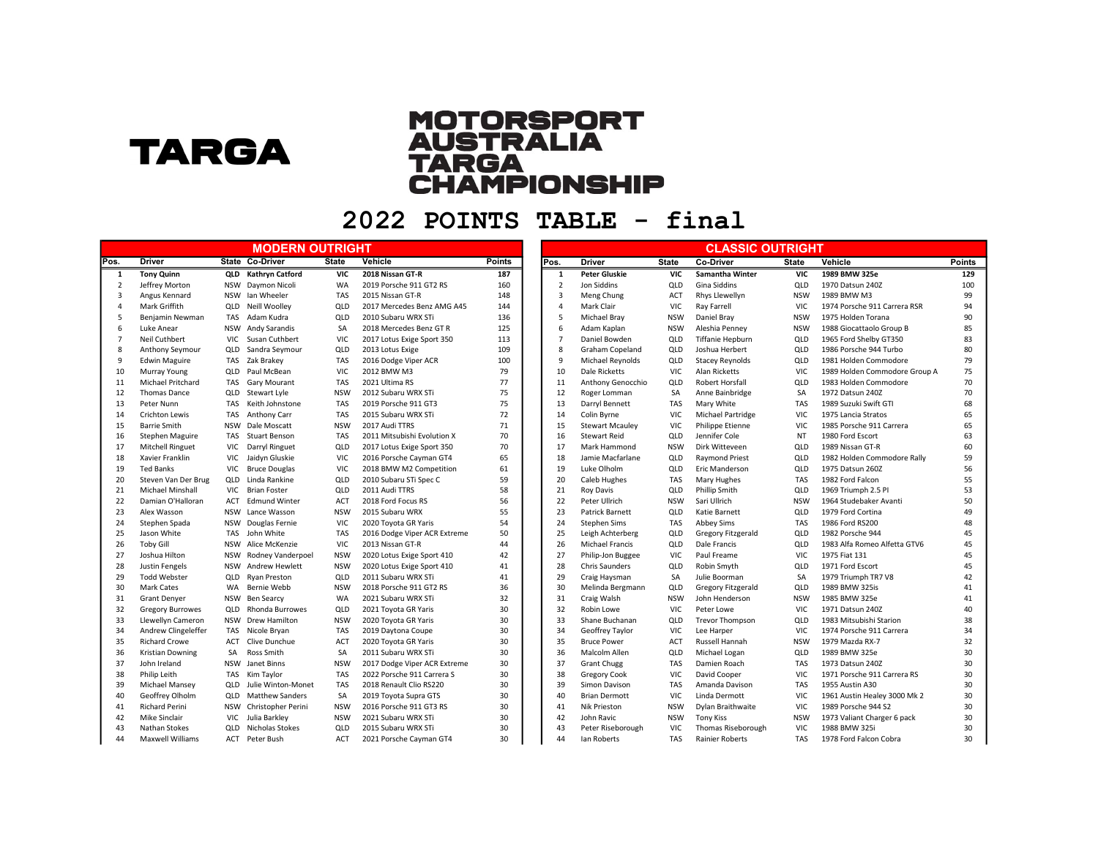## **TARGA**

## **MOTORSPORT<br>AUSTRALIA<br>TARGA<br>CHAMPIONSHIP**

2022 POINTS TABLE - final

|                |                          |            | <b>MODERN OUTRIGHT</b> |              |                              |               |                |                        |              | <b>CLASSIC OUTRIGHT</b>   |              |                               |               |
|----------------|--------------------------|------------|------------------------|--------------|------------------------------|---------------|----------------|------------------------|--------------|---------------------------|--------------|-------------------------------|---------------|
| Pos.           | <b>Driver</b>            |            | State Co-Driver        | <b>State</b> | Vehicle                      | <b>Points</b> | Pos.           | Driver                 | <b>State</b> | Co-Driver                 | <b>State</b> | Vehicle                       | <b>Points</b> |
| 1              | <b>Tony Quinn</b>        |            | QLD Kathryn Catford    | <b>VIC</b>   | 2018 Nissan GT-R             | 187           | -1             | <b>Peter Gluskie</b>   | <b>VIC</b>   | <b>Samantha Winter</b>    | <b>VIC</b>   | 1989 BMW 325e                 | 129           |
| $\overline{2}$ | Jeffrey Morton           | NSW        | Daymon Nicoli          | <b>WA</b>    | 2019 Porsche 911 GT2 RS      | 160           | $\overline{2}$ | Jon Siddins            | QLD          | <b>Gina Siddins</b>       | QLD          | 1970 Datsun 240Z              | 100           |
| $\overline{3}$ | Angus Kennard            |            | NSW Ian Wheeler        | TAS          | 2015 Nissan GT-R             | 148           | 3              | Meng Chung             | ACT          | Rhys Llewellyn            | <b>NSW</b>   | 1989 BMW M3                   | 99            |
| $\overline{4}$ | Mark Griffith            | QLD        | Neill Woolley          | QLD          | 2017 Mercedes Benz AMG A45   | 144           | $\overline{4}$ | Mark Clair             | VIC          | <b>Ray Farrell</b>        | <b>VIC</b>   | 1974 Porsche 911 Carrera RSR  | 94            |
| -5             | Benjamin Newman          | TAS        | Adam Kudra             | QLD          | 2010 Subaru WRX STi          | 136           | 5              | Michael Bray           | <b>NSW</b>   | Daniel Bray               | <b>NSW</b>   | 1975 Holden Torana            | 90            |
| 6              | Luke Anear               |            | NSW Andy Sarandis      | <b>SA</b>    | 2018 Mercedes Benz GT R      | 125           | 6              | Adam Kaplan            | <b>NSW</b>   | Aleshia Penney            | <b>NSW</b>   | 1988 Giocattaolo Group B      | 85            |
| $\overline{7}$ | Neil Cuthbert            | <b>VIC</b> | Susan Cuthbert         | VIC.         | 2017 Lotus Exige Sport 350   | 113           | 7              | Daniel Bowden          | QLD          | <b>Tiffanie Hepburn</b>   | QLD          | 1965 Ford Shelby GT350        | 83            |
| 8              | Anthony Seymour          |            | QLD Sandra Seymour     | QLD          | 2013 Lotus Exige             | 109           | 8              | <b>Graham Copeland</b> | QLD          | Joshua Herbert            | QLD          | 1986 Porsche 944 Turbo        | 80            |
| 9              | <b>Edwin Maguire</b>     |            | TAS Zak Brakey         | <b>TAS</b>   | 2016 Dodge Viper ACR         | 100           | 9              | Michael Reynolds       | QLD          | <b>Stacey Reynolds</b>    | QLD          | 1981 Holden Commodore         | 79            |
| 10             | Murray Young             | QLD        | Paul McBean            | VIC          | 2012 BMW M3                  | 79            | 10             | Dale Ricketts          | <b>VIC</b>   | <b>Alan Ricketts</b>      | <b>VIC</b>   | 1989 Holden Commodore Group A | 75            |
| 11             | <b>Michael Pritchard</b> |            | TAS Gary Mourant       | <b>TAS</b>   | 2021 Ultima RS               | 77            | 11             | Anthony Genocchio      | QLD          | Robert Horsfall           | QLD          | 1983 Holden Commodore         | 70            |
| 12             | <b>Thomas Dance</b>      | QLD        | Stewart Lyle           | <b>NSW</b>   | 2012 Subaru WRX STi          | 75            | 12             | Roger Lomman           | <b>SA</b>    | Anne Bainbridge           | <b>SA</b>    | 1972 Datsun 2407              | 70            |
| 13             | Peter Nunn               | TAS        | Keith Johnstone        | <b>TAS</b>   | 2019 Porsche 911 GT3         | 75            | 13             | Darryl Bennett         | TAS          | Mary White                | <b>TAS</b>   | 1989 Suzuki Swift GTI         | 68            |
| 14             | <b>Crichton Lewis</b>    | TAS        | Anthony Carr           | <b>TAS</b>   | 2015 Subaru WRX STi          | 72            | 14             | Colin Byrne            | VIC          | Michael Partridge         | <b>VIC</b>   | 1975 Lancia Stratos           | 65            |
| 15             | <b>Barrie Smith</b>      |            | NSW Dale Moscatt       | <b>NSW</b>   | 2017 Audi TTRS               | 71            | 15             | <b>Stewart Mcauley</b> | VIC          | Philippe Etienne          | <b>VIC</b>   | 1985 Porsche 911 Carrera      | 65            |
| 16             | Stephen Maguire          |            | TAS Stuart Benson      | TAS          | 2011 Mitsubishi Evolution X  | 70            | 16             | <b>Stewart Reid</b>    | QLD          | Jennifer Cole             | NT           | 1980 Ford Escort              | 63            |
| 17             | <b>Mitchell Ringuet</b>  | <b>VIC</b> | Darryl Ringuet         | QLD          | 2017 Lotus Exige Sport 350   | 70            | 17             | Mark Hammond           | <b>NSW</b>   | Dirk Witteveen            | QLD          | 1989 Nissan GT-R              | 60            |
| 18             | Xavier Franklin          | VIC        | Jaidyn Gluskie         | VIC          | 2016 Porsche Cayman GT4      | 65            | 18             | Jamie Macfarlane       | QLD          | <b>Raymond Priest</b>     | QLD          | 1982 Holden Commodore Rally   | 59            |
| 19             | <b>Ted Banks</b>         | <b>VIC</b> | <b>Bruce Douglas</b>   | VIC          | 2018 BMW M2 Competition      | 61            | 19             | Luke Olholm            | QLD          | Eric Manderson            | QLD          | 1975 Datsun 260Z              | 56            |
| 20             | Steven Van Der Brug      |            | QLD Linda Rankine      | QLD          | 2010 Subaru STi Spec C       | 59            | 20             | Caleb Hughes           | <b>TAS</b>   | Mary Hughes               | <b>TAS</b>   | 1982 Ford Falcon              | 55            |
| 21             | <b>Michael Minshall</b>  |            | VIC Brian Foster       | QLD          | 2011 Audi TTRS               | 58            | 21             | <b>Roy Davis</b>       | QLD          | <b>Phillip Smith</b>      | QLD          | 1969 Triumph 2.5 PI           | 53            |
| 22             | Damian O'Halloran        | ACT        | <b>Edmund Winter</b>   | <b>ACT</b>   | 2018 Ford Focus RS           | 56            | 22             | Peter Ullrich          | <b>NSW</b>   | Sari Ullrich              | <b>NSW</b>   | 1964 Studebaker Avanti        | 50            |
| 23             | Alex Wasson              |            | NSW Lance Wasson       | <b>NSW</b>   | 2015 Subaru WRX              | 55            | 23             | Patrick Barnett        | QLD          | Katie Barnett             | QLD          | 1979 Ford Cortina             | 49            |
| 24             | Stephen Spada            |            | NSW Douglas Fernie     | VIC          | 2020 Toyota GR Yaris         | 54            | 24             | <b>Stephen Sims</b>    | <b>TAS</b>   | <b>Abbey Sims</b>         | <b>TAS</b>   | 1986 Ford RS200               | 48            |
| 25             | Jason White              | TAS        | John White             | TAS          | 2016 Dodge Viper ACR Extreme | 50            | 25             | Leigh Achterberg       | QLD          | <b>Gregory Fitzgerald</b> | QLD          | 1982 Porsche 944              | 45            |
| 26             | <b>Toby Gill</b>         |            | NSW Alice McKenzie     | VIC          | 2013 Nissan GT-R             | 44            | 26             | <b>Michael Francis</b> | QLD          | Dale Francis              | QLD          | 1983 Alfa Romeo Alfetta GTV6  | 45            |
| 27             | Joshua Hilton            | <b>NSW</b> | Rodney Vanderpoel      | <b>NSW</b>   | 2020 Lotus Exige Sport 410   | 42            | 27             | Philip-Jon Buggee      | <b>VIC</b>   | Paul Freame               | VIC.         | 1975 Fiat 131                 | 45            |
| 28             | Justin Fengels           |            | NSW Andrew Hewlett     | <b>NSW</b>   | 2020 Lotus Exige Sport 410   | 41            | 28             | <b>Chris Saunders</b>  | QLD          | Robin Smyth               | QLD          | 1971 Ford Escort              | 45            |
| 29             | <b>Todd Webster</b>      | QLD        | <b>Ryan Preston</b>    | QLD          | 2011 Subaru WRX STi          | 41            | 29             | Craig Haysman          | SA           | Julie Boorman             | <b>SA</b>    | 1979 Triumph TR7 V8           | 42            |
| 30             | <b>Mark Cates</b>        | <b>WA</b>  | Bernie Webb            | <b>NSW</b>   | 2018 Porsche 911 GT2 RS      | 36            | 30             | Melinda Bergmann       | QLD          | <b>Gregory Fitzgerald</b> | QLD          | 1989 BMW 325is                | 41            |
| 31             | <b>Grant Denyer</b>      | NSW        | <b>Ben Searcy</b>      | WA           | 2021 Subaru WRX STi          | 32            | 31             | Craig Walsh            | <b>NSW</b>   | John Henderson            | <b>NSW</b>   | 1985 BMW 325e                 | 41            |
| 32             | <b>Gregory Burrowes</b>  | QLD        | <b>Rhonda Burrowes</b> | QLD          | 2021 Toyota GR Yaris         | 30            | 32             | Robin Lowe             | <b>VIC</b>   | Peter Lowe                | VIC.         | 1971 Datsun 240Z              | 40            |
| 33             | Llewellyn Cameron        |            | NSW Drew Hamilton      | <b>NSW</b>   | 2020 Toyota GR Yaris         | 30            | 33             | Shane Buchanan         | QLD          | <b>Trevor Thompson</b>    | QLD          | 1983 Mitsubishi Starion       | 38            |
| 34             | Andrew Clingeleffer      |            | TAS Nicole Bryan       | <b>TAS</b>   | 2019 Daytona Coupe           | 30            | 34             | Geoffrey Taylor        | VIC          | Lee Harper                | <b>VIC</b>   | 1974 Porsche 911 Carrera      | 34            |
| 35             | <b>Richard Crowe</b>     | ACT        | Clive Dunchue          | <b>ACT</b>   | 2020 Toyota GR Yaris         | 30            | 35             | <b>Bruce Power</b>     | <b>ACT</b>   | Russell Hannah            | <b>NSW</b>   | 1979 Mazda RX-7               | 32            |
| 36             | <b>Kristian Downing</b>  | SA         | Ross Smith             | <b>SA</b>    | 2011 Subaru WRX STi          | 30            | 36             | Malcolm Allen          | QLD          | Michael Logan             | QLD          | 1989 BMW 325e                 | 30            |
| 37             | John Ireland             | NSW        | Janet Binns            | <b>NSW</b>   | 2017 Dodge Viper ACR Extreme | 30            | 37             | <b>Grant Chugg</b>     | <b>TAS</b>   | Damien Roach              | <b>TAS</b>   | 1973 Datsun 240Z              | 30            |
| 38             | Philip Leith             |            | TAS Kim Taylor         | TAS          | 2022 Porsche 911 Carrera S   | 30            | 38             | <b>Gregory Cook</b>    | VIC          | David Cooper              | <b>VIC</b>   | 1971 Porsche 911 Carrera RS   | 30            |
| 39             | Michael Mansey           | QLD        | Julie Winton-Monet     | TAS          | 2018 Renault Clio RS220      | 30            | 39             | Simon Davison          | <b>TAS</b>   | Amanda Davison            | <b>TAS</b>   | 1955 Austin A30               | 30            |
| 40             | Geoffrey Olholm          | QLD        | <b>Matthew Sanders</b> | <b>SA</b>    | 2019 Toyota Supra GTS        | 30            | 40             | <b>Brian Dermott</b>   | <b>VIC</b>   | Linda Dermott             | <b>VIC</b>   | 1961 Austin Healey 3000 Mk 2  | 30            |
| 41             | <b>Richard Perini</b>    |            | NSW Christopher Perini | <b>NSW</b>   | 2016 Porsche 911 GT3 RS      | 30            | 41             | <b>Nik Prieston</b>    | <b>NSW</b>   | Dylan Braithwaite         | <b>VIC</b>   | 1989 Porsche 944 S2           | 30            |
| 42             | <b>Mike Sinclair</b>     | <b>VIC</b> | Julia Barkley          | <b>NSW</b>   | 2021 Subaru WRX STi          | 30            | 42             | John Ravic             | <b>NSW</b>   | <b>Tony Kiss</b>          | <b>NSW</b>   | 1973 Valiant Charger 6 pack   | 30            |
| 43             | Nathan Stokes            |            | QLD Nicholas Stokes    | QLD          | 2015 Subaru WRX STi          | 30            | 43             | Peter Riseborough      | <b>VIC</b>   | <b>Thomas Riseborough</b> | <b>VIC</b>   | 1988 BMW 325i                 | 30            |
| 44             | Maxwell Williams         |            | ACT Peter Bush         | <b>ACT</b>   | 2021 Porsche Cayman GT4      | 30            | 44             | Ian Roberts            | <b>TAS</b>   | <b>Rainier Roberts</b>    | <b>TAS</b>   | 1978 Ford Falcon Cobra        | 30            |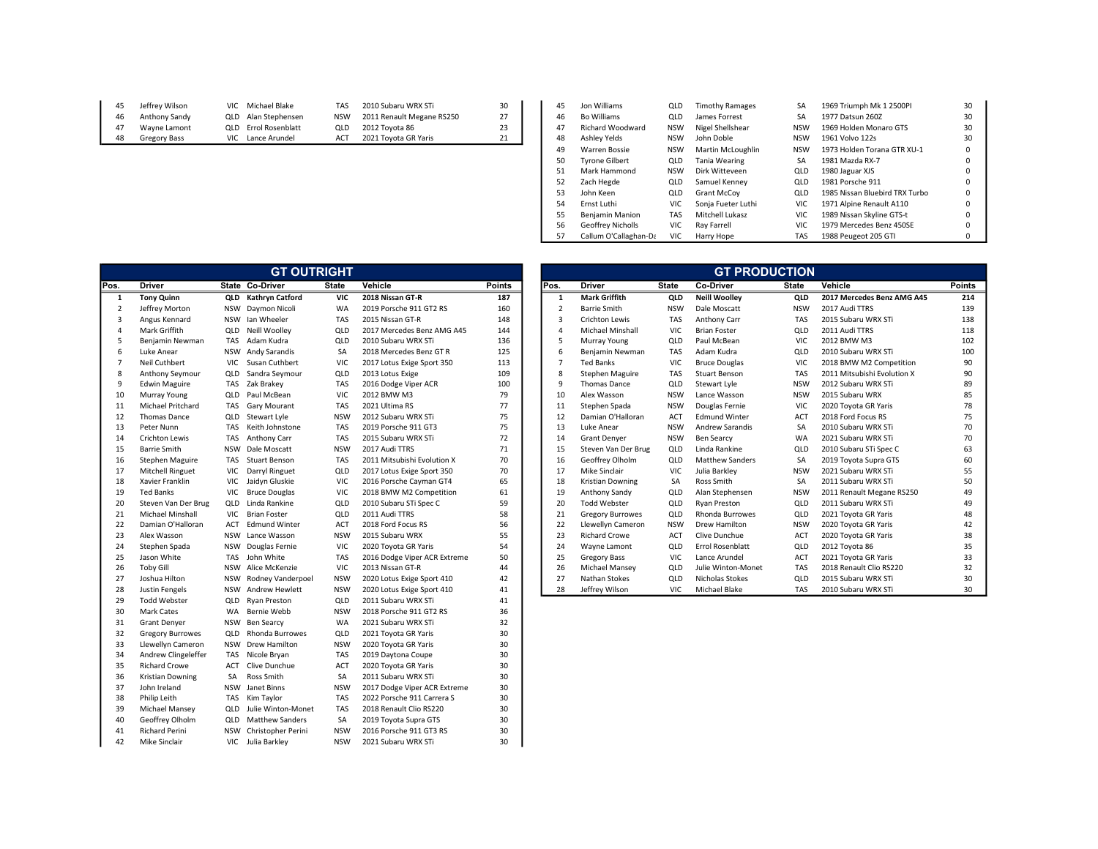| 45 | Jeffrey Wilson | VIC Michael Blake    | <b>TAS</b> | 2010 Subaru WRX STi       | 30 |
|----|----------------|----------------------|------------|---------------------------|----|
| 46 | Anthony Sandy  | QLD Alan Stephensen  | <b>NSW</b> | 2011 Renault Megane RS250 | 27 |
| 47 | Wavne Lamont   | QLD Errol Rosenblatt | OLD.       | 2012 Tovota 86            | 23 |
| 48 | Gregory Bass   | VIC Lance Arundel    | ACT        | 2021 Tovota GR Yaris      | 21 |
|    |                |                      |            |                           |    |

| 45 | Jeffrey Wilson | VIC Michael Blake           | TAS        | 2010 Subaru WRX STi       | 30 | 45 | Jon Williams            | QLD        | <b>Timothy Ramages</b> | SA         | 1969 Triumph Mk 1 2500PI       | 30       |  |
|----|----------------|-----------------------------|------------|---------------------------|----|----|-------------------------|------------|------------------------|------------|--------------------------------|----------|--|
| 46 | Anthony Sandy  | QLD Alan Stephensen         | <b>NSW</b> | 2011 Renault Megane RS250 | 27 | 46 | <b>Bo Williams</b>      | QLD        | James Forrest          | SA         | 1977 Datsun 260Z               | 30       |  |
| 47 | Wavne Lamont   | <b>QLD</b> Errol Rosenblatt | QLD        | 2012 Tovota 86            | 23 | 47 | <b>Richard Woodward</b> | <b>NSW</b> | Nigel Shellshear       | NSW        | 1969 Holden Monaro GTS         | 30       |  |
| 48 | Gregory Bass   | VIC Lance Arundel           | ACT        | 2021 Toyota GR Yaris      | 21 | 48 | Ashley Yelds            | NSW        | John Doble             | <b>NSW</b> | 1961 Volvo 122s                | 30       |  |
|    |                |                             |            |                           |    | 49 | <b>Warren Bossie</b>    | <b>NSW</b> | Martin McLoughlin      | <b>NSW</b> | 1973 Holden Torana GTR XU-1    | 0        |  |
|    |                |                             |            |                           |    | 50 | <b>Tyrone Gilbert</b>   | QLD        | Tania Wearing          | SA         | 1981 Mazda RX-7                |          |  |
|    |                |                             |            |                           |    |    | Mark Hammond            | <b>NSW</b> | Dirk Witteveen         | QLD        | 1980 Jaguar XJS                |          |  |
|    |                |                             |            |                           |    | 52 | Zach Hegde              | QLD        | Samuel Kenney          | QLD        | 1981 Porsche 911               |          |  |
|    |                |                             |            |                           |    | 53 | John Keen               | QLD        | <b>Grant McCov</b>     | QLD        | 1985 Nissan Bluebird TRX Turbo | $\Omega$ |  |
|    |                |                             |            |                           |    | 54 | Ernst Luthi             | VIC.       | Sonia Fueter Luthi     | VIC        | 1971 Alpine Renault A110       |          |  |
|    |                |                             |            |                           |    | 55 | Beniamin Manion         | TAS        | Mitchell Lukasz        | <b>VIC</b> | 1989 Nissan Skyline GTS-t      | 0        |  |
|    |                |                             |            |                           |    | 56 | Geoffrey Nicholls       | VIC        | Rav Farrell            | VIC.       | 1979 Mercedes Benz 450SE       | 0        |  |
|    |                |                             |            |                           |    | 57 | Callum O'Callaghan-Da   | VIC        | Harry Hope             | TAS        | 1988 Peugeot 205 GTI           |          |  |

| Pos.<br><b>Driver</b><br><b>State Co-Driver</b><br><b>State</b><br>Vehicle<br><b>Points</b><br>Pos.<br><b>Driver</b><br><b>State</b><br>Co-Driver<br><b>Mark Griffith</b><br><b>Tony Quinn</b><br><b>Kathryn Catford</b><br><b>VIC</b><br>2018 Nissan GT-R<br>187<br><b>Neill Woolley</b><br>1<br>QLD<br>1<br>QLD<br>$\overline{2}$<br>160<br>$\overline{\mathbf{c}}$<br>Jeffrey Morton<br>Daymon Nicoli<br>WA<br>2019 Porsche 911 GT2 RS<br><b>Barrie Smith</b><br><b>NSW</b><br>Dale Moscatt<br><b>NSW</b><br>3<br>3<br><b>NSW</b><br>Ian Wheeler<br><b>TAS</b><br>148<br><b>TAS</b><br>Angus Kennard<br>2015 Nissan GT-R<br><b>Crichton Lewis</b><br>Anthony Carr<br>4<br>Mark Griffith<br>Neill Woolley<br>QLD<br>144<br>Michael Minshall<br>VIC<br>Brian Foster<br>$\overline{4}$<br>QLD<br>2017 Mercedes Benz AMG A45<br>5<br>5<br>136<br>Benjamin Newman<br>Adam Kudra<br>QLD<br>Murray Young<br>QLD<br>Paul McBean<br>TAS<br>2010 Subaru WRX STi<br>6<br>Andy Sarandis<br>125<br>6<br>Adam Kudra<br>Luke Anear<br><b>NSW</b><br>SA<br>Benjamin Newman<br>TAS<br>2018 Mercedes Benz GT R<br>$\overline{7}$<br>$\overline{7}$<br>Neil Cuthbert<br><b>Ted Banks</b><br>VIC<br><b>VIC</b><br>Susan Cuthbert<br>VIC<br>2017 Lotus Exige Sport 350<br>113<br><b>Bruce Douglas</b><br>8<br>8<br>Sandra Seymour<br>109<br><b>Anthony Seymour</b><br>QLD<br>QLD<br>2013 Lotus Exige<br>Stephen Maguire<br>TAS<br><b>Stuart Benson</b><br>9<br>9<br>TAS<br>Zak Brakey<br>100<br>Thomas Dance<br>QLD<br>Stewart Lyle<br><b>Edwin Maguire</b><br>TAS<br>2016 Dodge Viper ACR<br>79<br>10<br>10<br>Paul McBean<br>VIC<br>Alex Wasson<br><b>NSW</b><br>Lance Wasson<br>Murray Young<br>QLD<br>2012 BMW M3<br>11<br><b>Michael Pritchard</b><br>77<br>11<br>Stephen Spada<br><b>NSW</b><br><b>TAS</b><br>Gary Mourant<br>TAS<br>2021 Ultima RS<br>Douglas Fernie<br>75<br>12<br>Damian O'Halloran<br><b>ACT</b><br>12<br><b>Thomas Dance</b><br>QLD<br>Stewart Lyle<br><b>NSW</b><br><b>Edmund Winter</b><br>2012 Subaru WRX STi<br>13<br>75<br>13<br>Peter Nunn<br>Keith Johnstone<br><b>TAS</b><br>2019 Porsche 911 GT3<br>Luke Anear<br><b>NSW</b><br><b>Andrew Sarandis</b><br><b>TAS</b><br>14<br>Anthony Carr<br><b>Crichton Lewis</b><br><b>TAS</b><br><b>TAS</b><br>2015 Subaru WRX STi<br>72<br>14<br><b>Grant Denyer</b><br><b>NSW</b><br><b>Ben Searcy</b><br>15<br><b>NSW</b><br>Dale Moscatt<br><b>NSW</b><br>71<br>15<br>QLD<br>Linda Rankine<br><b>Barrie Smith</b><br>2017 Audi TTRS<br>Steven Van Der Brug<br>16<br>Stuart Benson<br>70<br>16<br>Geoffrey Olholm<br><b>Matthew Sanders</b><br>Stephen Maguire<br><b>TAS</b><br><b>TAS</b><br>2011 Mitsubishi Evolution X<br>QLD<br>17<br>70<br>17<br>Mike Sinclair<br>VIC<br>Julia Barkley<br>Mitchell Ringuet<br>VIC<br>Darryl Ringuet<br>QLD<br>2017 Lotus Exige Sport 350<br>18<br><b>VIC</b><br>18<br>Xavier Franklin<br>VIC<br>Jaidyn Gluskie<br>65<br>SA<br>Ross Smith<br>2016 Porsche Cayman GT4<br><b>Kristian Downing</b><br>19<br><b>Ted Banks</b><br><b>Bruce Douglas</b><br>VIC<br>2018 BMW M2 Competition<br>61<br>19<br>Anthony Sandy<br>QLD<br>Alan Stephensen<br><b>VIC</b><br>20<br>59<br>20<br>Steven Van Der Brug<br>QLD<br>Linda Rankine<br>QLD<br><b>Todd Webster</b><br>QLD<br><b>Ryan Preston</b><br>2010 Subaru STi Spec C<br>21<br><b>VIC</b><br>58<br>21<br>Michael Minshall<br><b>Brian Foster</b><br>QLD<br>2011 Audi TTRS<br><b>Gregory Burrowes</b><br>QLD<br>Rhonda Burrowes<br>22<br>56<br>22<br>Damian O'Halloran<br>ACT<br><b>Edmund Winter</b><br>ACT<br>2018 Ford Focus RS<br>Llewellyn Cameron<br><b>NSW</b><br>Drew Hamilton<br>23<br>Lance Wasson<br>55<br>23<br><b>Richard Crowe</b><br><b>ACT</b><br>Alex Wasson<br><b>NSW</b><br><b>NSW</b><br>2015 Subaru WRX<br>Clive Dunchue<br>24<br><b>NSW</b><br><b>VIC</b><br>54<br>24<br>Stephen Spada<br>Douglas Fernie<br>2020 Toyota GR Yaris<br>Wayne Lamont<br>QLD<br><b>Errol Rosenblatt</b><br>25<br>50<br>Jason White<br>John White<br><b>TAS</b><br>25<br><b>Gregory Bass</b><br>VIC<br>Lance Arundel<br><b>TAS</b><br>2016 Dodge Viper ACR Extreme<br>26<br><b>Toby Gill</b><br><b>NSW</b><br>Alice McKenzie<br>VIC<br>44<br>26<br>Michael Mansey<br>Julie Winton-Monet<br>2013 Nissan GT-R<br>QLD<br>27<br>27<br>Nathan Stokes<br>Joshua Hilton<br><b>NSW</b><br>Rodney Vanderpoel<br><b>NSW</b><br>2020 Lotus Exige Sport 410<br>42<br>QLD<br>Nicholas Stokes<br>28<br>Andrew Hewlett<br>41<br>28<br>VIC<br><b>Justin Fengels</b><br><b>NSW</b><br><b>NSW</b><br>2020 Lotus Exige Sport 410<br>Jeffrey Wilson<br>Michael Blake<br>29<br><b>Todd Webster</b><br>QLD<br>Ryan Preston<br>QLD<br>2011 Subaru WRX STi<br>41<br>30<br>36<br>Mark Cates<br>WA<br>Bernie Webb<br><b>NSW</b><br>2018 Porsche 911 GT2 RS<br>31<br>32<br><b>Grant Denyer</b><br>NSW<br><b>Ben Searcy</b><br>WA<br>2021 Subaru WRX STi<br>32<br>Rhonda Burrowes<br>30<br><b>Gregory Burrowes</b><br>QLD<br>QLD<br>2021 Toyota GR Yaris<br>33<br><b>Drew Hamilton</b><br>30<br>Llewellyn Cameron<br><b>NSW</b><br><b>NSW</b><br>2020 Toyota GR Yaris<br>30<br>34<br>Andrew Clingeleffer<br>TAS<br>Nicole Bryan<br><b>TAS</b><br>2019 Daytona Coupe<br>35<br><b>Richard Crowe</b><br>Clive Dunchue<br>30<br><b>ACT</b><br>ACT<br>2020 Toyota GR Yaris<br>36<br>30<br><b>Kristian Downing</b><br><b>SA</b><br>Ross Smith<br>SA<br>2011 Subaru WRX STi<br>37<br>30<br>John Ireland<br><b>NSW</b><br>Janet Binns<br><b>NSW</b><br>2017 Dodge Viper ACR Extreme<br>38<br>30<br>Philip Leith<br><b>TAS</b><br>Kim Taylor<br><b>TAS</b><br>2022 Porsche 911 Carrera S<br>39<br>Michael Mansey<br>QLD<br>Julie Winton-Monet<br>TAS<br>2018 Renault Clio RS220<br>30<br>40<br>30<br>Geoffrey Olholm<br>QLD<br><b>Matthew Sanders</b><br>SA<br>2019 Toyota Supra GTS<br>41<br>Richard Perini<br><b>NSW</b><br>30<br><b>NSW</b><br>Christopher Perini<br>2016 Porsche 911 GT3 RS |    |                      |            | <b>GT OUTRIGHT</b> |            |                     |    |  |  | <b>GT PRODUCTION</b> |              |
|--------------------------------------------------------------------------------------------------------------------------------------------------------------------------------------------------------------------------------------------------------------------------------------------------------------------------------------------------------------------------------------------------------------------------------------------------------------------------------------------------------------------------------------------------------------------------------------------------------------------------------------------------------------------------------------------------------------------------------------------------------------------------------------------------------------------------------------------------------------------------------------------------------------------------------------------------------------------------------------------------------------------------------------------------------------------------------------------------------------------------------------------------------------------------------------------------------------------------------------------------------------------------------------------------------------------------------------------------------------------------------------------------------------------------------------------------------------------------------------------------------------------------------------------------------------------------------------------------------------------------------------------------------------------------------------------------------------------------------------------------------------------------------------------------------------------------------------------------------------------------------------------------------------------------------------------------------------------------------------------------------------------------------------------------------------------------------------------------------------------------------------------------------------------------------------------------------------------------------------------------------------------------------------------------------------------------------------------------------------------------------------------------------------------------------------------------------------------------------------------------------------------------------------------------------------------------------------------------------------------------------------------------------------------------------------------------------------------------------------------------------------------------------------------------------------------------------------------------------------------------------------------------------------------------------------------------------------------------------------------------------------------------------------------------------------------------------------------------------------------------------------------------------------------------------------------------------------------------------------------------------------------------------------------------------------------------------------------------------------------------------------------------------------------------------------------------------------------------------------------------------------------------------------------------------------------------------------------------------------------------------------------------------------------------------------------------------------------------------------------------------------------------------------------------------------------------------------------------------------------------------------------------------------------------------------------------------------------------------------------------------------------------------------------------------------------------------------------------------------------------------------------------------------------------------------------------------------------------------------------------------------------------------------------------------------------------------------------------------------------------------------------------------------------------------------------------------------------------------------------------------------------------------------------------------------------------------------------------------------------------------------------------------------------------------------------------------------------------------------------------------------------------------------------------------------------------------------------------------------------------------------------------------------------------------------------------------------------------------------------------------------------------------------------------------------------------------------------------------------------------------------------------------------------------------------------------------------------------------------------------------------------------------------------------------------------------------------------------------------------------------------------------------------------------------------------------------------------------------------------------------------------------------------------------------------------------------------------------------------------------------------------------------------------------------------------------------------------------------------------------------------------------------------------------------------------------------------------------------------------------------------------------|----|----------------------|------------|--------------------|------------|---------------------|----|--|--|----------------------|--------------|
|                                                                                                                                                                                                                                                                                                                                                                                                                                                                                                                                                                                                                                                                                                                                                                                                                                                                                                                                                                                                                                                                                                                                                                                                                                                                                                                                                                                                                                                                                                                                                                                                                                                                                                                                                                                                                                                                                                                                                                                                                                                                                                                                                                                                                                                                                                                                                                                                                                                                                                                                                                                                                                                                                                                                                                                                                                                                                                                                                                                                                                                                                                                                                                                                                                                                                                                                                                                                                                                                                                                                                                                                                                                                                                                                                                                                                                                                                                                                                                                                                                                                                                                                                                                                                                                                                                                                                                                                                                                                                                                                                                                                                                                                                                                                                                                                                                                                                                                                                                                                                                                                                                                                                                                                                                                                                                                                                                                                                                                                                                                                                                                                                                                                                                                                                                                                                                                                                                  |    |                      |            |                    |            |                     |    |  |  |                      | <b>State</b> |
|                                                                                                                                                                                                                                                                                                                                                                                                                                                                                                                                                                                                                                                                                                                                                                                                                                                                                                                                                                                                                                                                                                                                                                                                                                                                                                                                                                                                                                                                                                                                                                                                                                                                                                                                                                                                                                                                                                                                                                                                                                                                                                                                                                                                                                                                                                                                                                                                                                                                                                                                                                                                                                                                                                                                                                                                                                                                                                                                                                                                                                                                                                                                                                                                                                                                                                                                                                                                                                                                                                                                                                                                                                                                                                                                                                                                                                                                                                                                                                                                                                                                                                                                                                                                                                                                                                                                                                                                                                                                                                                                                                                                                                                                                                                                                                                                                                                                                                                                                                                                                                                                                                                                                                                                                                                                                                                                                                                                                                                                                                                                                                                                                                                                                                                                                                                                                                                                                                  |    |                      |            |                    |            |                     |    |  |  |                      |              |
|                                                                                                                                                                                                                                                                                                                                                                                                                                                                                                                                                                                                                                                                                                                                                                                                                                                                                                                                                                                                                                                                                                                                                                                                                                                                                                                                                                                                                                                                                                                                                                                                                                                                                                                                                                                                                                                                                                                                                                                                                                                                                                                                                                                                                                                                                                                                                                                                                                                                                                                                                                                                                                                                                                                                                                                                                                                                                                                                                                                                                                                                                                                                                                                                                                                                                                                                                                                                                                                                                                                                                                                                                                                                                                                                                                                                                                                                                                                                                                                                                                                                                                                                                                                                                                                                                                                                                                                                                                                                                                                                                                                                                                                                                                                                                                                                                                                                                                                                                                                                                                                                                                                                                                                                                                                                                                                                                                                                                                                                                                                                                                                                                                                                                                                                                                                                                                                                                                  |    |                      |            |                    |            |                     |    |  |  |                      |              |
|                                                                                                                                                                                                                                                                                                                                                                                                                                                                                                                                                                                                                                                                                                                                                                                                                                                                                                                                                                                                                                                                                                                                                                                                                                                                                                                                                                                                                                                                                                                                                                                                                                                                                                                                                                                                                                                                                                                                                                                                                                                                                                                                                                                                                                                                                                                                                                                                                                                                                                                                                                                                                                                                                                                                                                                                                                                                                                                                                                                                                                                                                                                                                                                                                                                                                                                                                                                                                                                                                                                                                                                                                                                                                                                                                                                                                                                                                                                                                                                                                                                                                                                                                                                                                                                                                                                                                                                                                                                                                                                                                                                                                                                                                                                                                                                                                                                                                                                                                                                                                                                                                                                                                                                                                                                                                                                                                                                                                                                                                                                                                                                                                                                                                                                                                                                                                                                                                                  |    |                      |            |                    |            |                     |    |  |  |                      |              |
|                                                                                                                                                                                                                                                                                                                                                                                                                                                                                                                                                                                                                                                                                                                                                                                                                                                                                                                                                                                                                                                                                                                                                                                                                                                                                                                                                                                                                                                                                                                                                                                                                                                                                                                                                                                                                                                                                                                                                                                                                                                                                                                                                                                                                                                                                                                                                                                                                                                                                                                                                                                                                                                                                                                                                                                                                                                                                                                                                                                                                                                                                                                                                                                                                                                                                                                                                                                                                                                                                                                                                                                                                                                                                                                                                                                                                                                                                                                                                                                                                                                                                                                                                                                                                                                                                                                                                                                                                                                                                                                                                                                                                                                                                                                                                                                                                                                                                                                                                                                                                                                                                                                                                                                                                                                                                                                                                                                                                                                                                                                                                                                                                                                                                                                                                                                                                                                                                                  |    |                      |            |                    |            |                     |    |  |  |                      |              |
|                                                                                                                                                                                                                                                                                                                                                                                                                                                                                                                                                                                                                                                                                                                                                                                                                                                                                                                                                                                                                                                                                                                                                                                                                                                                                                                                                                                                                                                                                                                                                                                                                                                                                                                                                                                                                                                                                                                                                                                                                                                                                                                                                                                                                                                                                                                                                                                                                                                                                                                                                                                                                                                                                                                                                                                                                                                                                                                                                                                                                                                                                                                                                                                                                                                                                                                                                                                                                                                                                                                                                                                                                                                                                                                                                                                                                                                                                                                                                                                                                                                                                                                                                                                                                                                                                                                                                                                                                                                                                                                                                                                                                                                                                                                                                                                                                                                                                                                                                                                                                                                                                                                                                                                                                                                                                                                                                                                                                                                                                                                                                                                                                                                                                                                                                                                                                                                                                                  |    |                      |            |                    |            |                     |    |  |  |                      |              |
|                                                                                                                                                                                                                                                                                                                                                                                                                                                                                                                                                                                                                                                                                                                                                                                                                                                                                                                                                                                                                                                                                                                                                                                                                                                                                                                                                                                                                                                                                                                                                                                                                                                                                                                                                                                                                                                                                                                                                                                                                                                                                                                                                                                                                                                                                                                                                                                                                                                                                                                                                                                                                                                                                                                                                                                                                                                                                                                                                                                                                                                                                                                                                                                                                                                                                                                                                                                                                                                                                                                                                                                                                                                                                                                                                                                                                                                                                                                                                                                                                                                                                                                                                                                                                                                                                                                                                                                                                                                                                                                                                                                                                                                                                                                                                                                                                                                                                                                                                                                                                                                                                                                                                                                                                                                                                                                                                                                                                                                                                                                                                                                                                                                                                                                                                                                                                                                                                                  |    |                      |            |                    |            |                     |    |  |  |                      |              |
|                                                                                                                                                                                                                                                                                                                                                                                                                                                                                                                                                                                                                                                                                                                                                                                                                                                                                                                                                                                                                                                                                                                                                                                                                                                                                                                                                                                                                                                                                                                                                                                                                                                                                                                                                                                                                                                                                                                                                                                                                                                                                                                                                                                                                                                                                                                                                                                                                                                                                                                                                                                                                                                                                                                                                                                                                                                                                                                                                                                                                                                                                                                                                                                                                                                                                                                                                                                                                                                                                                                                                                                                                                                                                                                                                                                                                                                                                                                                                                                                                                                                                                                                                                                                                                                                                                                                                                                                                                                                                                                                                                                                                                                                                                                                                                                                                                                                                                                                                                                                                                                                                                                                                                                                                                                                                                                                                                                                                                                                                                                                                                                                                                                                                                                                                                                                                                                                                                  |    |                      |            |                    |            |                     |    |  |  |                      |              |
|                                                                                                                                                                                                                                                                                                                                                                                                                                                                                                                                                                                                                                                                                                                                                                                                                                                                                                                                                                                                                                                                                                                                                                                                                                                                                                                                                                                                                                                                                                                                                                                                                                                                                                                                                                                                                                                                                                                                                                                                                                                                                                                                                                                                                                                                                                                                                                                                                                                                                                                                                                                                                                                                                                                                                                                                                                                                                                                                                                                                                                                                                                                                                                                                                                                                                                                                                                                                                                                                                                                                                                                                                                                                                                                                                                                                                                                                                                                                                                                                                                                                                                                                                                                                                                                                                                                                                                                                                                                                                                                                                                                                                                                                                                                                                                                                                                                                                                                                                                                                                                                                                                                                                                                                                                                                                                                                                                                                                                                                                                                                                                                                                                                                                                                                                                                                                                                                                                  |    |                      |            |                    |            |                     |    |  |  |                      |              |
|                                                                                                                                                                                                                                                                                                                                                                                                                                                                                                                                                                                                                                                                                                                                                                                                                                                                                                                                                                                                                                                                                                                                                                                                                                                                                                                                                                                                                                                                                                                                                                                                                                                                                                                                                                                                                                                                                                                                                                                                                                                                                                                                                                                                                                                                                                                                                                                                                                                                                                                                                                                                                                                                                                                                                                                                                                                                                                                                                                                                                                                                                                                                                                                                                                                                                                                                                                                                                                                                                                                                                                                                                                                                                                                                                                                                                                                                                                                                                                                                                                                                                                                                                                                                                                                                                                                                                                                                                                                                                                                                                                                                                                                                                                                                                                                                                                                                                                                                                                                                                                                                                                                                                                                                                                                                                                                                                                                                                                                                                                                                                                                                                                                                                                                                                                                                                                                                                                  |    |                      |            |                    |            |                     |    |  |  |                      |              |
|                                                                                                                                                                                                                                                                                                                                                                                                                                                                                                                                                                                                                                                                                                                                                                                                                                                                                                                                                                                                                                                                                                                                                                                                                                                                                                                                                                                                                                                                                                                                                                                                                                                                                                                                                                                                                                                                                                                                                                                                                                                                                                                                                                                                                                                                                                                                                                                                                                                                                                                                                                                                                                                                                                                                                                                                                                                                                                                                                                                                                                                                                                                                                                                                                                                                                                                                                                                                                                                                                                                                                                                                                                                                                                                                                                                                                                                                                                                                                                                                                                                                                                                                                                                                                                                                                                                                                                                                                                                                                                                                                                                                                                                                                                                                                                                                                                                                                                                                                                                                                                                                                                                                                                                                                                                                                                                                                                                                                                                                                                                                                                                                                                                                                                                                                                                                                                                                                                  |    |                      |            |                    |            |                     |    |  |  |                      |              |
|                                                                                                                                                                                                                                                                                                                                                                                                                                                                                                                                                                                                                                                                                                                                                                                                                                                                                                                                                                                                                                                                                                                                                                                                                                                                                                                                                                                                                                                                                                                                                                                                                                                                                                                                                                                                                                                                                                                                                                                                                                                                                                                                                                                                                                                                                                                                                                                                                                                                                                                                                                                                                                                                                                                                                                                                                                                                                                                                                                                                                                                                                                                                                                                                                                                                                                                                                                                                                                                                                                                                                                                                                                                                                                                                                                                                                                                                                                                                                                                                                                                                                                                                                                                                                                                                                                                                                                                                                                                                                                                                                                                                                                                                                                                                                                                                                                                                                                                                                                                                                                                                                                                                                                                                                                                                                                                                                                                                                                                                                                                                                                                                                                                                                                                                                                                                                                                                                                  |    |                      |            |                    |            |                     |    |  |  |                      |              |
|                                                                                                                                                                                                                                                                                                                                                                                                                                                                                                                                                                                                                                                                                                                                                                                                                                                                                                                                                                                                                                                                                                                                                                                                                                                                                                                                                                                                                                                                                                                                                                                                                                                                                                                                                                                                                                                                                                                                                                                                                                                                                                                                                                                                                                                                                                                                                                                                                                                                                                                                                                                                                                                                                                                                                                                                                                                                                                                                                                                                                                                                                                                                                                                                                                                                                                                                                                                                                                                                                                                                                                                                                                                                                                                                                                                                                                                                                                                                                                                                                                                                                                                                                                                                                                                                                                                                                                                                                                                                                                                                                                                                                                                                                                                                                                                                                                                                                                                                                                                                                                                                                                                                                                                                                                                                                                                                                                                                                                                                                                                                                                                                                                                                                                                                                                                                                                                                                                  |    |                      |            |                    |            |                     |    |  |  |                      |              |
|                                                                                                                                                                                                                                                                                                                                                                                                                                                                                                                                                                                                                                                                                                                                                                                                                                                                                                                                                                                                                                                                                                                                                                                                                                                                                                                                                                                                                                                                                                                                                                                                                                                                                                                                                                                                                                                                                                                                                                                                                                                                                                                                                                                                                                                                                                                                                                                                                                                                                                                                                                                                                                                                                                                                                                                                                                                                                                                                                                                                                                                                                                                                                                                                                                                                                                                                                                                                                                                                                                                                                                                                                                                                                                                                                                                                                                                                                                                                                                                                                                                                                                                                                                                                                                                                                                                                                                                                                                                                                                                                                                                                                                                                                                                                                                                                                                                                                                                                                                                                                                                                                                                                                                                                                                                                                                                                                                                                                                                                                                                                                                                                                                                                                                                                                                                                                                                                                                  |    |                      |            |                    |            |                     |    |  |  |                      |              |
|                                                                                                                                                                                                                                                                                                                                                                                                                                                                                                                                                                                                                                                                                                                                                                                                                                                                                                                                                                                                                                                                                                                                                                                                                                                                                                                                                                                                                                                                                                                                                                                                                                                                                                                                                                                                                                                                                                                                                                                                                                                                                                                                                                                                                                                                                                                                                                                                                                                                                                                                                                                                                                                                                                                                                                                                                                                                                                                                                                                                                                                                                                                                                                                                                                                                                                                                                                                                                                                                                                                                                                                                                                                                                                                                                                                                                                                                                                                                                                                                                                                                                                                                                                                                                                                                                                                                                                                                                                                                                                                                                                                                                                                                                                                                                                                                                                                                                                                                                                                                                                                                                                                                                                                                                                                                                                                                                                                                                                                                                                                                                                                                                                                                                                                                                                                                                                                                                                  |    |                      |            |                    |            |                     |    |  |  |                      |              |
|                                                                                                                                                                                                                                                                                                                                                                                                                                                                                                                                                                                                                                                                                                                                                                                                                                                                                                                                                                                                                                                                                                                                                                                                                                                                                                                                                                                                                                                                                                                                                                                                                                                                                                                                                                                                                                                                                                                                                                                                                                                                                                                                                                                                                                                                                                                                                                                                                                                                                                                                                                                                                                                                                                                                                                                                                                                                                                                                                                                                                                                                                                                                                                                                                                                                                                                                                                                                                                                                                                                                                                                                                                                                                                                                                                                                                                                                                                                                                                                                                                                                                                                                                                                                                                                                                                                                                                                                                                                                                                                                                                                                                                                                                                                                                                                                                                                                                                                                                                                                                                                                                                                                                                                                                                                                                                                                                                                                                                                                                                                                                                                                                                                                                                                                                                                                                                                                                                  |    |                      |            |                    |            |                     |    |  |  |                      |              |
|                                                                                                                                                                                                                                                                                                                                                                                                                                                                                                                                                                                                                                                                                                                                                                                                                                                                                                                                                                                                                                                                                                                                                                                                                                                                                                                                                                                                                                                                                                                                                                                                                                                                                                                                                                                                                                                                                                                                                                                                                                                                                                                                                                                                                                                                                                                                                                                                                                                                                                                                                                                                                                                                                                                                                                                                                                                                                                                                                                                                                                                                                                                                                                                                                                                                                                                                                                                                                                                                                                                                                                                                                                                                                                                                                                                                                                                                                                                                                                                                                                                                                                                                                                                                                                                                                                                                                                                                                                                                                                                                                                                                                                                                                                                                                                                                                                                                                                                                                                                                                                                                                                                                                                                                                                                                                                                                                                                                                                                                                                                                                                                                                                                                                                                                                                                                                                                                                                  |    |                      |            |                    |            |                     |    |  |  |                      |              |
|                                                                                                                                                                                                                                                                                                                                                                                                                                                                                                                                                                                                                                                                                                                                                                                                                                                                                                                                                                                                                                                                                                                                                                                                                                                                                                                                                                                                                                                                                                                                                                                                                                                                                                                                                                                                                                                                                                                                                                                                                                                                                                                                                                                                                                                                                                                                                                                                                                                                                                                                                                                                                                                                                                                                                                                                                                                                                                                                                                                                                                                                                                                                                                                                                                                                                                                                                                                                                                                                                                                                                                                                                                                                                                                                                                                                                                                                                                                                                                                                                                                                                                                                                                                                                                                                                                                                                                                                                                                                                                                                                                                                                                                                                                                                                                                                                                                                                                                                                                                                                                                                                                                                                                                                                                                                                                                                                                                                                                                                                                                                                                                                                                                                                                                                                                                                                                                                                                  |    |                      |            |                    |            |                     |    |  |  |                      |              |
|                                                                                                                                                                                                                                                                                                                                                                                                                                                                                                                                                                                                                                                                                                                                                                                                                                                                                                                                                                                                                                                                                                                                                                                                                                                                                                                                                                                                                                                                                                                                                                                                                                                                                                                                                                                                                                                                                                                                                                                                                                                                                                                                                                                                                                                                                                                                                                                                                                                                                                                                                                                                                                                                                                                                                                                                                                                                                                                                                                                                                                                                                                                                                                                                                                                                                                                                                                                                                                                                                                                                                                                                                                                                                                                                                                                                                                                                                                                                                                                                                                                                                                                                                                                                                                                                                                                                                                                                                                                                                                                                                                                                                                                                                                                                                                                                                                                                                                                                                                                                                                                                                                                                                                                                                                                                                                                                                                                                                                                                                                                                                                                                                                                                                                                                                                                                                                                                                                  |    |                      |            |                    |            |                     |    |  |  |                      |              |
|                                                                                                                                                                                                                                                                                                                                                                                                                                                                                                                                                                                                                                                                                                                                                                                                                                                                                                                                                                                                                                                                                                                                                                                                                                                                                                                                                                                                                                                                                                                                                                                                                                                                                                                                                                                                                                                                                                                                                                                                                                                                                                                                                                                                                                                                                                                                                                                                                                                                                                                                                                                                                                                                                                                                                                                                                                                                                                                                                                                                                                                                                                                                                                                                                                                                                                                                                                                                                                                                                                                                                                                                                                                                                                                                                                                                                                                                                                                                                                                                                                                                                                                                                                                                                                                                                                                                                                                                                                                                                                                                                                                                                                                                                                                                                                                                                                                                                                                                                                                                                                                                                                                                                                                                                                                                                                                                                                                                                                                                                                                                                                                                                                                                                                                                                                                                                                                                                                  |    |                      |            |                    |            |                     |    |  |  |                      |              |
|                                                                                                                                                                                                                                                                                                                                                                                                                                                                                                                                                                                                                                                                                                                                                                                                                                                                                                                                                                                                                                                                                                                                                                                                                                                                                                                                                                                                                                                                                                                                                                                                                                                                                                                                                                                                                                                                                                                                                                                                                                                                                                                                                                                                                                                                                                                                                                                                                                                                                                                                                                                                                                                                                                                                                                                                                                                                                                                                                                                                                                                                                                                                                                                                                                                                                                                                                                                                                                                                                                                                                                                                                                                                                                                                                                                                                                                                                                                                                                                                                                                                                                                                                                                                                                                                                                                                                                                                                                                                                                                                                                                                                                                                                                                                                                                                                                                                                                                                                                                                                                                                                                                                                                                                                                                                                                                                                                                                                                                                                                                                                                                                                                                                                                                                                                                                                                                                                                  |    |                      |            |                    |            |                     |    |  |  |                      |              |
|                                                                                                                                                                                                                                                                                                                                                                                                                                                                                                                                                                                                                                                                                                                                                                                                                                                                                                                                                                                                                                                                                                                                                                                                                                                                                                                                                                                                                                                                                                                                                                                                                                                                                                                                                                                                                                                                                                                                                                                                                                                                                                                                                                                                                                                                                                                                                                                                                                                                                                                                                                                                                                                                                                                                                                                                                                                                                                                                                                                                                                                                                                                                                                                                                                                                                                                                                                                                                                                                                                                                                                                                                                                                                                                                                                                                                                                                                                                                                                                                                                                                                                                                                                                                                                                                                                                                                                                                                                                                                                                                                                                                                                                                                                                                                                                                                                                                                                                                                                                                                                                                                                                                                                                                                                                                                                                                                                                                                                                                                                                                                                                                                                                                                                                                                                                                                                                                                                  |    |                      |            |                    |            |                     |    |  |  |                      |              |
|                                                                                                                                                                                                                                                                                                                                                                                                                                                                                                                                                                                                                                                                                                                                                                                                                                                                                                                                                                                                                                                                                                                                                                                                                                                                                                                                                                                                                                                                                                                                                                                                                                                                                                                                                                                                                                                                                                                                                                                                                                                                                                                                                                                                                                                                                                                                                                                                                                                                                                                                                                                                                                                                                                                                                                                                                                                                                                                                                                                                                                                                                                                                                                                                                                                                                                                                                                                                                                                                                                                                                                                                                                                                                                                                                                                                                                                                                                                                                                                                                                                                                                                                                                                                                                                                                                                                                                                                                                                                                                                                                                                                                                                                                                                                                                                                                                                                                                                                                                                                                                                                                                                                                                                                                                                                                                                                                                                                                                                                                                                                                                                                                                                                                                                                                                                                                                                                                                  |    |                      |            |                    |            |                     |    |  |  |                      |              |
|                                                                                                                                                                                                                                                                                                                                                                                                                                                                                                                                                                                                                                                                                                                                                                                                                                                                                                                                                                                                                                                                                                                                                                                                                                                                                                                                                                                                                                                                                                                                                                                                                                                                                                                                                                                                                                                                                                                                                                                                                                                                                                                                                                                                                                                                                                                                                                                                                                                                                                                                                                                                                                                                                                                                                                                                                                                                                                                                                                                                                                                                                                                                                                                                                                                                                                                                                                                                                                                                                                                                                                                                                                                                                                                                                                                                                                                                                                                                                                                                                                                                                                                                                                                                                                                                                                                                                                                                                                                                                                                                                                                                                                                                                                                                                                                                                                                                                                                                                                                                                                                                                                                                                                                                                                                                                                                                                                                                                                                                                                                                                                                                                                                                                                                                                                                                                                                                                                  |    |                      |            |                    |            |                     |    |  |  |                      |              |
|                                                                                                                                                                                                                                                                                                                                                                                                                                                                                                                                                                                                                                                                                                                                                                                                                                                                                                                                                                                                                                                                                                                                                                                                                                                                                                                                                                                                                                                                                                                                                                                                                                                                                                                                                                                                                                                                                                                                                                                                                                                                                                                                                                                                                                                                                                                                                                                                                                                                                                                                                                                                                                                                                                                                                                                                                                                                                                                                                                                                                                                                                                                                                                                                                                                                                                                                                                                                                                                                                                                                                                                                                                                                                                                                                                                                                                                                                                                                                                                                                                                                                                                                                                                                                                                                                                                                                                                                                                                                                                                                                                                                                                                                                                                                                                                                                                                                                                                                                                                                                                                                                                                                                                                                                                                                                                                                                                                                                                                                                                                                                                                                                                                                                                                                                                                                                                                                                                  |    |                      |            |                    |            |                     |    |  |  |                      |              |
|                                                                                                                                                                                                                                                                                                                                                                                                                                                                                                                                                                                                                                                                                                                                                                                                                                                                                                                                                                                                                                                                                                                                                                                                                                                                                                                                                                                                                                                                                                                                                                                                                                                                                                                                                                                                                                                                                                                                                                                                                                                                                                                                                                                                                                                                                                                                                                                                                                                                                                                                                                                                                                                                                                                                                                                                                                                                                                                                                                                                                                                                                                                                                                                                                                                                                                                                                                                                                                                                                                                                                                                                                                                                                                                                                                                                                                                                                                                                                                                                                                                                                                                                                                                                                                                                                                                                                                                                                                                                                                                                                                                                                                                                                                                                                                                                                                                                                                                                                                                                                                                                                                                                                                                                                                                                                                                                                                                                                                                                                                                                                                                                                                                                                                                                                                                                                                                                                                  |    |                      |            |                    |            |                     |    |  |  |                      |              |
|                                                                                                                                                                                                                                                                                                                                                                                                                                                                                                                                                                                                                                                                                                                                                                                                                                                                                                                                                                                                                                                                                                                                                                                                                                                                                                                                                                                                                                                                                                                                                                                                                                                                                                                                                                                                                                                                                                                                                                                                                                                                                                                                                                                                                                                                                                                                                                                                                                                                                                                                                                                                                                                                                                                                                                                                                                                                                                                                                                                                                                                                                                                                                                                                                                                                                                                                                                                                                                                                                                                                                                                                                                                                                                                                                                                                                                                                                                                                                                                                                                                                                                                                                                                                                                                                                                                                                                                                                                                                                                                                                                                                                                                                                                                                                                                                                                                                                                                                                                                                                                                                                                                                                                                                                                                                                                                                                                                                                                                                                                                                                                                                                                                                                                                                                                                                                                                                                                  |    |                      |            |                    |            |                     |    |  |  |                      |              |
|                                                                                                                                                                                                                                                                                                                                                                                                                                                                                                                                                                                                                                                                                                                                                                                                                                                                                                                                                                                                                                                                                                                                                                                                                                                                                                                                                                                                                                                                                                                                                                                                                                                                                                                                                                                                                                                                                                                                                                                                                                                                                                                                                                                                                                                                                                                                                                                                                                                                                                                                                                                                                                                                                                                                                                                                                                                                                                                                                                                                                                                                                                                                                                                                                                                                                                                                                                                                                                                                                                                                                                                                                                                                                                                                                                                                                                                                                                                                                                                                                                                                                                                                                                                                                                                                                                                                                                                                                                                                                                                                                                                                                                                                                                                                                                                                                                                                                                                                                                                                                                                                                                                                                                                                                                                                                                                                                                                                                                                                                                                                                                                                                                                                                                                                                                                                                                                                                                  |    |                      |            |                    |            |                     |    |  |  |                      |              |
|                                                                                                                                                                                                                                                                                                                                                                                                                                                                                                                                                                                                                                                                                                                                                                                                                                                                                                                                                                                                                                                                                                                                                                                                                                                                                                                                                                                                                                                                                                                                                                                                                                                                                                                                                                                                                                                                                                                                                                                                                                                                                                                                                                                                                                                                                                                                                                                                                                                                                                                                                                                                                                                                                                                                                                                                                                                                                                                                                                                                                                                                                                                                                                                                                                                                                                                                                                                                                                                                                                                                                                                                                                                                                                                                                                                                                                                                                                                                                                                                                                                                                                                                                                                                                                                                                                                                                                                                                                                                                                                                                                                                                                                                                                                                                                                                                                                                                                                                                                                                                                                                                                                                                                                                                                                                                                                                                                                                                                                                                                                                                                                                                                                                                                                                                                                                                                                                                                  |    |                      |            |                    |            |                     |    |  |  |                      |              |
|                                                                                                                                                                                                                                                                                                                                                                                                                                                                                                                                                                                                                                                                                                                                                                                                                                                                                                                                                                                                                                                                                                                                                                                                                                                                                                                                                                                                                                                                                                                                                                                                                                                                                                                                                                                                                                                                                                                                                                                                                                                                                                                                                                                                                                                                                                                                                                                                                                                                                                                                                                                                                                                                                                                                                                                                                                                                                                                                                                                                                                                                                                                                                                                                                                                                                                                                                                                                                                                                                                                                                                                                                                                                                                                                                                                                                                                                                                                                                                                                                                                                                                                                                                                                                                                                                                                                                                                                                                                                                                                                                                                                                                                                                                                                                                                                                                                                                                                                                                                                                                                                                                                                                                                                                                                                                                                                                                                                                                                                                                                                                                                                                                                                                                                                                                                                                                                                                                  |    |                      |            |                    |            |                     |    |  |  |                      |              |
|                                                                                                                                                                                                                                                                                                                                                                                                                                                                                                                                                                                                                                                                                                                                                                                                                                                                                                                                                                                                                                                                                                                                                                                                                                                                                                                                                                                                                                                                                                                                                                                                                                                                                                                                                                                                                                                                                                                                                                                                                                                                                                                                                                                                                                                                                                                                                                                                                                                                                                                                                                                                                                                                                                                                                                                                                                                                                                                                                                                                                                                                                                                                                                                                                                                                                                                                                                                                                                                                                                                                                                                                                                                                                                                                                                                                                                                                                                                                                                                                                                                                                                                                                                                                                                                                                                                                                                                                                                                                                                                                                                                                                                                                                                                                                                                                                                                                                                                                                                                                                                                                                                                                                                                                                                                                                                                                                                                                                                                                                                                                                                                                                                                                                                                                                                                                                                                                                                  |    |                      |            |                    |            |                     |    |  |  |                      |              |
|                                                                                                                                                                                                                                                                                                                                                                                                                                                                                                                                                                                                                                                                                                                                                                                                                                                                                                                                                                                                                                                                                                                                                                                                                                                                                                                                                                                                                                                                                                                                                                                                                                                                                                                                                                                                                                                                                                                                                                                                                                                                                                                                                                                                                                                                                                                                                                                                                                                                                                                                                                                                                                                                                                                                                                                                                                                                                                                                                                                                                                                                                                                                                                                                                                                                                                                                                                                                                                                                                                                                                                                                                                                                                                                                                                                                                                                                                                                                                                                                                                                                                                                                                                                                                                                                                                                                                                                                                                                                                                                                                                                                                                                                                                                                                                                                                                                                                                                                                                                                                                                                                                                                                                                                                                                                                                                                                                                                                                                                                                                                                                                                                                                                                                                                                                                                                                                                                                  |    |                      |            |                    |            |                     |    |  |  |                      |              |
|                                                                                                                                                                                                                                                                                                                                                                                                                                                                                                                                                                                                                                                                                                                                                                                                                                                                                                                                                                                                                                                                                                                                                                                                                                                                                                                                                                                                                                                                                                                                                                                                                                                                                                                                                                                                                                                                                                                                                                                                                                                                                                                                                                                                                                                                                                                                                                                                                                                                                                                                                                                                                                                                                                                                                                                                                                                                                                                                                                                                                                                                                                                                                                                                                                                                                                                                                                                                                                                                                                                                                                                                                                                                                                                                                                                                                                                                                                                                                                                                                                                                                                                                                                                                                                                                                                                                                                                                                                                                                                                                                                                                                                                                                                                                                                                                                                                                                                                                                                                                                                                                                                                                                                                                                                                                                                                                                                                                                                                                                                                                                                                                                                                                                                                                                                                                                                                                                                  |    |                      |            |                    |            |                     |    |  |  |                      |              |
|                                                                                                                                                                                                                                                                                                                                                                                                                                                                                                                                                                                                                                                                                                                                                                                                                                                                                                                                                                                                                                                                                                                                                                                                                                                                                                                                                                                                                                                                                                                                                                                                                                                                                                                                                                                                                                                                                                                                                                                                                                                                                                                                                                                                                                                                                                                                                                                                                                                                                                                                                                                                                                                                                                                                                                                                                                                                                                                                                                                                                                                                                                                                                                                                                                                                                                                                                                                                                                                                                                                                                                                                                                                                                                                                                                                                                                                                                                                                                                                                                                                                                                                                                                                                                                                                                                                                                                                                                                                                                                                                                                                                                                                                                                                                                                                                                                                                                                                                                                                                                                                                                                                                                                                                                                                                                                                                                                                                                                                                                                                                                                                                                                                                                                                                                                                                                                                                                                  |    |                      |            |                    |            |                     |    |  |  |                      |              |
|                                                                                                                                                                                                                                                                                                                                                                                                                                                                                                                                                                                                                                                                                                                                                                                                                                                                                                                                                                                                                                                                                                                                                                                                                                                                                                                                                                                                                                                                                                                                                                                                                                                                                                                                                                                                                                                                                                                                                                                                                                                                                                                                                                                                                                                                                                                                                                                                                                                                                                                                                                                                                                                                                                                                                                                                                                                                                                                                                                                                                                                                                                                                                                                                                                                                                                                                                                                                                                                                                                                                                                                                                                                                                                                                                                                                                                                                                                                                                                                                                                                                                                                                                                                                                                                                                                                                                                                                                                                                                                                                                                                                                                                                                                                                                                                                                                                                                                                                                                                                                                                                                                                                                                                                                                                                                                                                                                                                                                                                                                                                                                                                                                                                                                                                                                                                                                                                                                  |    |                      |            |                    |            |                     |    |  |  |                      |              |
|                                                                                                                                                                                                                                                                                                                                                                                                                                                                                                                                                                                                                                                                                                                                                                                                                                                                                                                                                                                                                                                                                                                                                                                                                                                                                                                                                                                                                                                                                                                                                                                                                                                                                                                                                                                                                                                                                                                                                                                                                                                                                                                                                                                                                                                                                                                                                                                                                                                                                                                                                                                                                                                                                                                                                                                                                                                                                                                                                                                                                                                                                                                                                                                                                                                                                                                                                                                                                                                                                                                                                                                                                                                                                                                                                                                                                                                                                                                                                                                                                                                                                                                                                                                                                                                                                                                                                                                                                                                                                                                                                                                                                                                                                                                                                                                                                                                                                                                                                                                                                                                                                                                                                                                                                                                                                                                                                                                                                                                                                                                                                                                                                                                                                                                                                                                                                                                                                                  |    |                      |            |                    |            |                     |    |  |  |                      |              |
|                                                                                                                                                                                                                                                                                                                                                                                                                                                                                                                                                                                                                                                                                                                                                                                                                                                                                                                                                                                                                                                                                                                                                                                                                                                                                                                                                                                                                                                                                                                                                                                                                                                                                                                                                                                                                                                                                                                                                                                                                                                                                                                                                                                                                                                                                                                                                                                                                                                                                                                                                                                                                                                                                                                                                                                                                                                                                                                                                                                                                                                                                                                                                                                                                                                                                                                                                                                                                                                                                                                                                                                                                                                                                                                                                                                                                                                                                                                                                                                                                                                                                                                                                                                                                                                                                                                                                                                                                                                                                                                                                                                                                                                                                                                                                                                                                                                                                                                                                                                                                                                                                                                                                                                                                                                                                                                                                                                                                                                                                                                                                                                                                                                                                                                                                                                                                                                                                                  |    |                      |            |                    |            |                     |    |  |  |                      |              |
|                                                                                                                                                                                                                                                                                                                                                                                                                                                                                                                                                                                                                                                                                                                                                                                                                                                                                                                                                                                                                                                                                                                                                                                                                                                                                                                                                                                                                                                                                                                                                                                                                                                                                                                                                                                                                                                                                                                                                                                                                                                                                                                                                                                                                                                                                                                                                                                                                                                                                                                                                                                                                                                                                                                                                                                                                                                                                                                                                                                                                                                                                                                                                                                                                                                                                                                                                                                                                                                                                                                                                                                                                                                                                                                                                                                                                                                                                                                                                                                                                                                                                                                                                                                                                                                                                                                                                                                                                                                                                                                                                                                                                                                                                                                                                                                                                                                                                                                                                                                                                                                                                                                                                                                                                                                                                                                                                                                                                                                                                                                                                                                                                                                                                                                                                                                                                                                                                                  |    |                      |            |                    |            |                     |    |  |  |                      |              |
|                                                                                                                                                                                                                                                                                                                                                                                                                                                                                                                                                                                                                                                                                                                                                                                                                                                                                                                                                                                                                                                                                                                                                                                                                                                                                                                                                                                                                                                                                                                                                                                                                                                                                                                                                                                                                                                                                                                                                                                                                                                                                                                                                                                                                                                                                                                                                                                                                                                                                                                                                                                                                                                                                                                                                                                                                                                                                                                                                                                                                                                                                                                                                                                                                                                                                                                                                                                                                                                                                                                                                                                                                                                                                                                                                                                                                                                                                                                                                                                                                                                                                                                                                                                                                                                                                                                                                                                                                                                                                                                                                                                                                                                                                                                                                                                                                                                                                                                                                                                                                                                                                                                                                                                                                                                                                                                                                                                                                                                                                                                                                                                                                                                                                                                                                                                                                                                                                                  |    |                      |            |                    |            |                     |    |  |  |                      |              |
|                                                                                                                                                                                                                                                                                                                                                                                                                                                                                                                                                                                                                                                                                                                                                                                                                                                                                                                                                                                                                                                                                                                                                                                                                                                                                                                                                                                                                                                                                                                                                                                                                                                                                                                                                                                                                                                                                                                                                                                                                                                                                                                                                                                                                                                                                                                                                                                                                                                                                                                                                                                                                                                                                                                                                                                                                                                                                                                                                                                                                                                                                                                                                                                                                                                                                                                                                                                                                                                                                                                                                                                                                                                                                                                                                                                                                                                                                                                                                                                                                                                                                                                                                                                                                                                                                                                                                                                                                                                                                                                                                                                                                                                                                                                                                                                                                                                                                                                                                                                                                                                                                                                                                                                                                                                                                                                                                                                                                                                                                                                                                                                                                                                                                                                                                                                                                                                                                                  |    |                      |            |                    |            |                     |    |  |  |                      |              |
|                                                                                                                                                                                                                                                                                                                                                                                                                                                                                                                                                                                                                                                                                                                                                                                                                                                                                                                                                                                                                                                                                                                                                                                                                                                                                                                                                                                                                                                                                                                                                                                                                                                                                                                                                                                                                                                                                                                                                                                                                                                                                                                                                                                                                                                                                                                                                                                                                                                                                                                                                                                                                                                                                                                                                                                                                                                                                                                                                                                                                                                                                                                                                                                                                                                                                                                                                                                                                                                                                                                                                                                                                                                                                                                                                                                                                                                                                                                                                                                                                                                                                                                                                                                                                                                                                                                                                                                                                                                                                                                                                                                                                                                                                                                                                                                                                                                                                                                                                                                                                                                                                                                                                                                                                                                                                                                                                                                                                                                                                                                                                                                                                                                                                                                                                                                                                                                                                                  |    |                      |            |                    |            |                     |    |  |  |                      |              |
|                                                                                                                                                                                                                                                                                                                                                                                                                                                                                                                                                                                                                                                                                                                                                                                                                                                                                                                                                                                                                                                                                                                                                                                                                                                                                                                                                                                                                                                                                                                                                                                                                                                                                                                                                                                                                                                                                                                                                                                                                                                                                                                                                                                                                                                                                                                                                                                                                                                                                                                                                                                                                                                                                                                                                                                                                                                                                                                                                                                                                                                                                                                                                                                                                                                                                                                                                                                                                                                                                                                                                                                                                                                                                                                                                                                                                                                                                                                                                                                                                                                                                                                                                                                                                                                                                                                                                                                                                                                                                                                                                                                                                                                                                                                                                                                                                                                                                                                                                                                                                                                                                                                                                                                                                                                                                                                                                                                                                                                                                                                                                                                                                                                                                                                                                                                                                                                                                                  |    |                      |            |                    |            |                     |    |  |  |                      |              |
|                                                                                                                                                                                                                                                                                                                                                                                                                                                                                                                                                                                                                                                                                                                                                                                                                                                                                                                                                                                                                                                                                                                                                                                                                                                                                                                                                                                                                                                                                                                                                                                                                                                                                                                                                                                                                                                                                                                                                                                                                                                                                                                                                                                                                                                                                                                                                                                                                                                                                                                                                                                                                                                                                                                                                                                                                                                                                                                                                                                                                                                                                                                                                                                                                                                                                                                                                                                                                                                                                                                                                                                                                                                                                                                                                                                                                                                                                                                                                                                                                                                                                                                                                                                                                                                                                                                                                                                                                                                                                                                                                                                                                                                                                                                                                                                                                                                                                                                                                                                                                                                                                                                                                                                                                                                                                                                                                                                                                                                                                                                                                                                                                                                                                                                                                                                                                                                                                                  | 42 | <b>Mike Sinclair</b> | <b>VIC</b> | Julia Barkley      | <b>NSW</b> | 2021 Subaru WRX STi | 30 |  |  |                      |              |

|      |                          |     | <b>GT OUTRIGHT</b>         |              |                              |               |                |                          |              | <b>GT PRODUCTION</b>    |              |                             |               |
|------|--------------------------|-----|----------------------------|--------------|------------------------------|---------------|----------------|--------------------------|--------------|-------------------------|--------------|-----------------------------|---------------|
| Pos. | <b>Driver</b>            |     | State Co-Driver            | <b>State</b> | Vehicle                      | <b>Points</b> | Pos.           | <b>Driver</b>            | <b>State</b> | Co-Driver               | <b>State</b> | Vehicle                     | <b>Points</b> |
| 1    | <b>Tony Quinn</b>        |     | <b>OLD</b> Kathrvn Catford | <b>VIC</b>   | 2018 Nissan GT-R             | 187           |                | <b>Mark Griffith</b>     | <b>QLD</b>   | <b>Neill Woollev</b>    | <b>QLD</b>   | 2017 Mercedes Benz AMG A45  | 214           |
|      | Jeffrey Morton           |     | NSW Davmon Nicoli          | <b>WA</b>    | 2019 Porsche 911 GT2 RS      | 160           | $\overline{2}$ | <b>Barrie Smith</b>      | <b>NSW</b>   | Dale Moscatt            | <b>NSW</b>   | 2017 Audi TTRS              | 139           |
| 3    | Angus Kennard            |     | NSW Ian Wheeler            | <b>TAS</b>   | 2015 Nissan GT-R             | 148           | -3             | <b>Crichton Lewis</b>    | <b>TAS</b>   | Anthony Carr            | <b>TAS</b>   | 2015 Subaru WRX STi         | 138           |
|      | Mark Griffith            |     | <b>QLD</b> Neill Woollev   | <b>QLD</b>   | 2017 Mercedes Benz AMG A45   | 144           |                | Michael Minshall         | VIC          | <b>Brian Foster</b>     | QLD          | 2011 Audi TTRS              | 118           |
| 5    | Benjamin Newman          |     | TAS Adam Kudra             | <b>QLD</b>   | 2010 Subaru WRX STi          | 136           |                | Murray Young             | QLD          | Paul McBean             | VIC          | 2012 BMW M3                 | 102           |
| 6    | Luke Anear               |     | NSW Andy Sarandis          | <b>SA</b>    | 2018 Mercedes Benz GT R      | 125           | -6             | Benjamin Newman          | <b>TAS</b>   | Adam Kudra              | QLD          | 2010 Subaru WRX STi         | 100           |
|      | Neil Cuthbert            |     | VIC Susan Cuthbert         | VIC          | 2017 Lotus Exige Sport 350   | 113           |                | <b>Ted Banks</b>         | VIC          | <b>Bruce Douglas</b>    | VIC          | 2018 BMW M2 Competition     | 90            |
| 8    | Anthony Seymour          |     | QLD Sandra Seymour         | QLD          | 2013 Lotus Exige             | 109           | -8             | Stephen Maguire          | <b>TAS</b>   | <b>Stuart Benson</b>    | <b>TAS</b>   | 2011 Mitsubishi Evolution X | 90            |
| 9    | <b>Edwin Maguire</b>     |     | TAS Zak Brakev             | <b>TAS</b>   | 2016 Dodge Viper ACR         | 100           | <sub>9</sub>   | <b>Thomas Dance</b>      | QLD          | Stewart Lyle            | <b>NSW</b>   | 2012 Subaru WRX STi         | 89            |
| 10   | Murray Young             |     | <b>QLD</b> Paul McBean     | <b>VIC</b>   | 2012 BMW M3                  | 79            | 10             | Alex Wasson              | <b>NSW</b>   | Lance Wasson            | <b>NSW</b>   | 2015 Subaru WRX             | 85            |
| 11   | <b>Michael Pritchard</b> |     | TAS Gary Mourant           | <b>TAS</b>   | 2021 Ultima RS               | 77            | 11             | Stephen Spada            | <b>NSW</b>   | Douglas Fernie          | VIC          | 2020 Toyota GR Yaris        | 78            |
| 12   | Thomas Dance             | QLD | Stewart Lyle               | <b>NSW</b>   | 2012 Subaru WRX STi          | 75            | 12             | Damian O'Halloran        | ACT          | <b>Edmund Winter</b>    | <b>ACT</b>   | 2018 Ford Focus RS          | 75            |
| 13   | Peter Nunn               |     | TAS Keith Johnstone        | <b>TAS</b>   | 2019 Porsche 911 GT3         | 75            | 13             | Luke Anear               | <b>NSW</b>   | Andrew Sarandis         | <b>SA</b>    | 2010 Subaru WRX STi         | 70            |
| 14   | Crichton Lewis           |     | TAS Anthony Carr           | <b>TAS</b>   | 2015 Subaru WRX STi          | 72            | 14             | <b>Grant Denver</b>      | <b>NSW</b>   | <b>Ben Searcy</b>       | <b>WA</b>    | 2021 Subaru WRX STi         | 70            |
| 15   | <b>Barrie Smith</b>      |     | NSW Dale Moscatt           | <b>NSW</b>   | 2017 Audi TTRS               | 71            | 15             | Steven Van Der Brug      | QLD          | Linda Rankine           | QLD          | 2010 Subaru STi Spec C      | 63            |
| 16   | Stephen Maguire          |     | TAS Stuart Benson          | <b>TAS</b>   | 2011 Mitsubishi Evolution X  | 70            | 16             | Geoffrey Olholm          | QLD          | <b>Matthew Sanders</b>  | SA           | 2019 Tovota Supra GTS       | 60            |
| 17   | <b>Mitchell Ringuet</b>  |     | VIC Darryl Ringuet         | QLD          | 2017 Lotus Exige Sport 350   | 70            | 17             | Mike Sinclair            | VIC          | Julia Barkley           | <b>NSW</b>   | 2021 Subaru WRX STi         | 55            |
| 18   | Xavier Franklin          |     | VIC Jaidyn Gluskie         | VIC          | 2016 Porsche Cayman GT4      | 65            | 18             | Kristian Downing         | <b>SA</b>    | Ross Smith              | <b>SA</b>    | 2011 Subaru WRX STi         | 50            |
| 19   | <b>Ted Banks</b>         |     | VIC Bruce Douglas          | VIC          | 2018 BMW M2 Competition      | 61            | 19             | Anthony Sandy            | QLD          | Alan Stephensen         | <b>NSW</b>   | 2011 Renault Megane RS250   | 49            |
| 20   | Steven Van Der Brug      |     | QLD Linda Rankine          | QLD          | 2010 Subaru STi Spec C       | 59            | 20             | <b>Todd Webster</b>      | QLD          | <b>Rvan Preston</b>     | QLD          | 2011 Subaru WRX STi         | 49            |
| 21   | <b>Michael Minshall</b>  |     | VIC Brian Foster           | <b>QLD</b>   | 2011 Audi TTRS               | 58            | 21             | <b>Gregory Burrowes</b>  | QLD          | <b>Rhonda Burrowes</b>  | QLD          | 2021 Toyota GR Yaris        | 48            |
| 22   | Damian O'Halloran        |     | <b>ACT</b> Edmund Winter   | ACT          | 2018 Ford Focus RS           | 56            | 22             | <b>Llewellyn Cameron</b> | <b>NSW</b>   | Drew Hamilton           | <b>NSW</b>   | 2020 Toyota GR Yaris        | 42            |
| 23   | Alex Wasson              |     | NSW Lance Wasson           | <b>NSW</b>   | 2015 Subaru WRX              | 55            | 23             | <b>Richard Crowe</b>     | <b>ACT</b>   | Clive Dunchue           | <b>ACT</b>   | 2020 Toyota GR Yaris        | 38            |
| 24   | Stephen Spada            |     | NSW Douglas Fernie         | VIC          | 2020 Tovota GR Yaris         | 54            | 24             | Wavne Lamont             | QLD          | <b>Errol Rosenblatt</b> | QLD          | 2012 Toyota 86              | 35            |
| 25   | Jason White              |     | TAS John White             | <b>TAS</b>   | 2016 Dodge Viper ACR Extreme | 50            | 25             | Gregory Bass             | VIC          | Lance Arundel           | <b>ACT</b>   | 2021 Toyota GR Yaris        | 33            |
| 26   | <b>Toby Gill</b>         |     | NSW Alice McKenzie         | <b>VIC</b>   | 2013 Nissan GT-R             | 44            | 26             | <b>Michael Mansey</b>    | QLD          | Julie Winton-Monet      | <b>TAS</b>   | 2018 Renault Clio RS220     | 32            |
| 27   | Joshua Hilton            |     | NSW Rodney Vanderpoel      | <b>NSW</b>   | 2020 Lotus Exige Sport 410   | 42            | 27             | Nathan Stokes            | QLD          | Nicholas Stokes         | QLD          | 2015 Subaru WRX STi         | 30            |
| 28   | Justin Fengels           |     | NSW Andrew Hewlett         | <b>NSW</b>   | 2020 Lotus Exige Sport 410   | 41            | 28             | Jeffrey Wilson           | <b>VIC</b>   | Michael Blake           | <b>TAS</b>   | 2010 Subaru WRX STi         | 30            |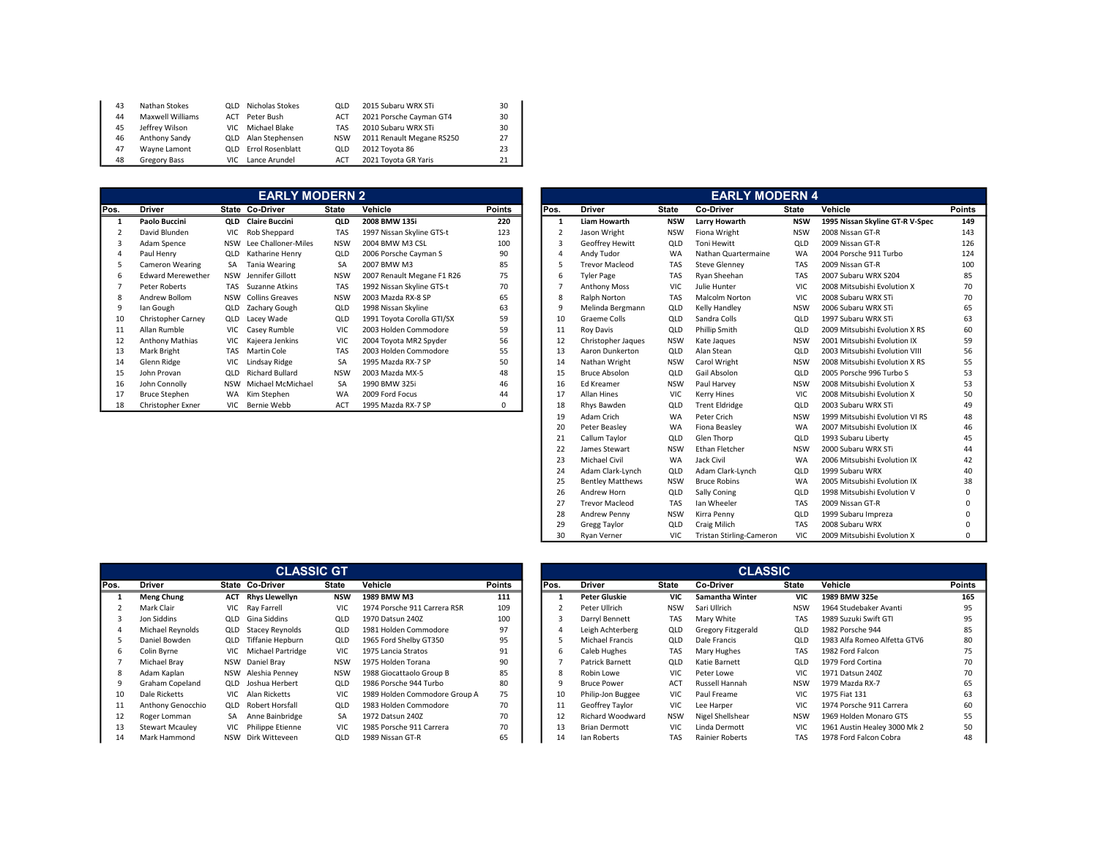| 43 | Nathan Stokes       |      | QLD Nicholas Stokes         | OLD        | 2015 Subaru WRX STi       | 30 |
|----|---------------------|------|-----------------------------|------------|---------------------------|----|
| 44 | Maxwell Williams    | ACT  | Peter Bush                  | ACT        | 2021 Porsche Cayman GT4   | 30 |
| 45 | Jeffrey Wilson      | VIC. | Michael Blake               | <b>TAS</b> | 2010 Subaru WRX STi       | 30 |
| 46 | Anthony Sandy       |      | QLD Alan Stephensen         | <b>NSW</b> | 2011 Renault Megane RS250 | 27 |
| 47 | Wavne Lamont        |      | <b>QLD</b> Errol Rosenblatt | OLD        | 2012 Toyota 86            | 23 |
| 48 | <b>Gregory Bass</b> | VIC. | Lance Arundel               | ACT        | 2021 Toyota GR Yaris      | 21 |

|      |                          |            | <b>EARLY MODERN 2</b>  |              |                            |               |      |                       |            | <b>EARLY MODERN 4</b> |              |
|------|--------------------------|------------|------------------------|--------------|----------------------------|---------------|------|-----------------------|------------|-----------------------|--------------|
| Pos. | <b>Driver</b>            |            | State Co-Driver        | <b>State</b> | Vehicle                    | <b>Points</b> | Pos. | <b>Driver</b>         | State      | Co-Driver             | <b>State</b> |
|      | Paolo Buccini            | QLD        | <b>Claire Buccini</b>  | QLD          | 2008 BMW 135i              | 220           |      | <b>Liam Howarth</b>   | <b>NSW</b> | Larry Howarth         | <b>NSW</b>   |
|      | David Blunden            | VIC        | Rob Sheppard           | <b>TAS</b>   | 1997 Nissan Skyline GTS-t  | 123           |      | Jason Wright          | <b>NSW</b> | Fiona Wright          | <b>NSW</b>   |
| 3    | Adam Spence              | <b>NSW</b> | Lee Challoner-Miles    | <b>NSW</b>   | 2004 BMW M3 CSL            | 100           |      | Geoffrey Hewitt       | QLD        | Toni Hewitt           | QLD          |
| 4    | Paul Henry               | QLD        | Katharine Henry        | QLD          | 2006 Porsche Cayman S      | 90            |      | Andy Tudor            | <b>WA</b>  | Nathan Quartermaine   | <b>WA</b>    |
| 5    | Cameron Wearing          | <b>SA</b>  | Tania Wearing          | <b>SA</b>    | 2007 BMW M3                | 85            |      | <b>Trevor Macleod</b> | <b>TAS</b> | <b>Steve Glenney</b>  | <b>TAS</b>   |
| 6    | <b>Edward Merewether</b> | <b>NSW</b> | Jennifer Gillott       | <b>NSW</b>   | 2007 Renault Megane F1 R26 | 75            | h    | <b>Tyler Page</b>     | <b>TAS</b> | Rvan Sheehan          | <b>TAS</b>   |
|      | Peter Roberts            | TAS        | Suzanne Atkins         | <b>TAS</b>   | 1992 Nissan Skyline GTS-t  | 70            |      | Anthony Moss          | <b>VIC</b> | Julie Hunter          | <b>VIC</b>   |
| 8    | Andrew Bollom            | <b>NSW</b> | <b>Collins Greaves</b> | <b>NSW</b>   | 2003 Mazda RX-8 SP         | 65            |      | Ralph Norton          | <b>TAS</b> | <b>Malcolm Norton</b> | <b>VIC</b>   |
| 9    | lan Gough                | QLD        | Zachary Gough          | QLD          | 1998 Nissan Skyline        | 63            |      | Melinda Bergmann      | QLD        | Kelly Handley         | <b>NSW</b>   |
| 10   | Christopher Carney       | QLD        | Lacey Wade             | QLD          | 1991 Toyota Corolla GTI/SX | 59            | 10   | Graeme Colls          | QLD        | Sandra Colls          | QLD          |
| 11   | Allan Rumble             | VIC.       | Casey Rumble           | <b>VIC</b>   | 2003 Holden Commodore      | 59            | 11   | Roy Davis             | QLD        | <b>Phillip Smith</b>  | QLD          |
| 12   | Anthony Mathias          | VIC        | Kajeera Jenkins        | <b>VIC</b>   | 2004 Toyota MR2 Spyder     | 56            | 12   | Christopher Jaques    | <b>NSW</b> | Kate Jaques           | <b>NSW</b>   |
| 13   | Mark Bright              | <b>TAS</b> | Martin Cole            | <b>TAS</b>   | 2003 Holden Commodore      | 55            | 13   | Aaron Dunkerton       | QLD        | Alan Stean            | QLD          |
| 14   | Glenn Ridge              | <b>VIC</b> | Lindsay Ridge          | <b>SA</b>    | 1995 Mazda RX-7 SP         | 50            | 14   | Nathan Wright         | <b>NSW</b> | Carol Wright          | <b>NSW</b>   |
| 15   | John Provan              | QLD        | <b>Richard Bullard</b> | <b>NSW</b>   | 2003 Mazda MX-5            | 48            | 15   | <b>Bruce Absolon</b>  | QLD        | Gail Absolon          | QLD          |
| 16   | John Connolly            | <b>NSW</b> | Michael McMichael      | SA           | 1990 BMW 325i              | 46            | 16   | Ed Kreamer            | <b>NSW</b> | Paul Harvey           | <b>NSW</b>   |
| 17   | <b>Bruce Stephen</b>     | <b>WA</b>  | Kim Stephen            | <b>WA</b>    | 2009 Ford Focus            | 44            | 17   | <b>Allan Hines</b>    | VIC        | <b>Kerry Hines</b>    | <b>VIC</b>   |
| 18   | Christopher Exner        | VIC        | Bernie Webb            | ACT          | 1995 Mazda RX-7 SP         | 0             | 18   | Rhys Bawden           | QLD        | <b>Trent Eldridge</b> | QLD          |

|      |                                                                            |    | <b>EARLY MODERN 2</b>     |              |                            |               |                |                      |                         |              | <b>EARLY MODERN 4</b>           |                          |                                 |               |
|------|----------------------------------------------------------------------------|----|---------------------------|--------------|----------------------------|---------------|----------------|----------------------|-------------------------|--------------|---------------------------------|--------------------------|---------------------------------|---------------|
| Pos. | <b>Driver</b>                                                              |    | State Co-Driver           | <b>State</b> | <b>Vehicle</b>             | <b>Points</b> | Pos.           |                      | <b>Driver</b>           | <b>State</b> | Co-Driver                       | <b>State</b>             | Vehicle                         | <b>Points</b> |
| -1   | Paolo Buccini                                                              |    | <b>OLD</b> Claire Buccini | QLD          | 2008 BMW 135i              | 220           | -1             |                      | <b>Liam Howarth</b>     | <b>NSW</b>   | Larry Howarth                   | <b>NSW</b>               | 1995 Nissan Skyline GT-R V-Spec | 149           |
|      | David Blunden                                                              |    | VIC Rob Sheppard          | TAS          | 1997 Nissan Skyline GTS-t  | 123           | $\overline{2}$ |                      | Jason Wright            | <b>NSW</b>   | Fiona Wright                    | <b>NSW</b>               | 2008 Nissan GT-R                | 143           |
| 3    | Adam Spence                                                                |    | NSW Lee Challoner-Miles   | <b>NSW</b>   | 2004 BMW M3 CSL            | 100           | $\mathbf{3}$   |                      | Geoffrey Hewitt         | QLD          | <b>Toni Hewitt</b>              | QLD                      | 2009 Nissan GT-R                | 126           |
| 4    | Paul Henry                                                                 |    | QLD Katharine Henry       | QLD          | 2006 Porsche Cayman S      | 90            |                |                      | Andy Tudor              | WA           | Nathan Quartermaine             | WA                       | 2004 Porsche 911 Turbo          | 124           |
| 5    | Cameron Wearing                                                            | SA | Tania Wearing             | SA           | 2007 BMW M3                | 85            |                |                      | <b>Trevor Macleod</b>   | TAS          | <b>Steve Glenney</b>            | <b>TAS</b>               | 2009 Nissan GT-R                | 100           |
| 6    | <b>Edward Merewether</b>                                                   |    | NSW Jennifer Gillott      | <b>NSW</b>   | 2007 Renault Megane F1 R26 | 75            | 6              |                      | <b>Tyler Page</b>       | <b>TAS</b>   | Rvan Sheehan                    | <b>TAS</b>               | 2007 Subaru WRX S204            | 85            |
|      | Peter Roberts                                                              |    | TAS Suzanne Atkins        | TAS          | 1992 Nissan Skyline GTS-t  | 70            |                |                      | <b>Anthony Moss</b>     | VIC          | Julie Hunter                    | VIC                      | 2008 Mitsubishi Evolution X     | 70            |
| 8    | Andrew Bollom                                                              |    | NSW Collins Greaves       | <b>NSW</b>   | 2003 Mazda RX-8 SP         | 65            | 8              |                      | Ralph Norton            | TAS          | <b>Malcolm Norton</b>           | VIC                      | 2008 Subaru WRX STi             | 70            |
| 9    | lan Gough                                                                  |    | QLD Zachary Gough         | <b>QLD</b>   | 1998 Nissan Skyline        | 63            | -9             |                      | Melinda Bergmann        | QLD          | Kelly Handley                   | <b>NSW</b>               | 2006 Subaru WRX STi             | 65            |
| 10   | <b>Christopher Carnev</b>                                                  |    | <b>OLD</b> Lacev Wade     | QLD          | 1991 Toyota Corolla GTI/SX | 59            |                | 10                   | Graeme Colls            | QLD          | Sandra Colls                    | QLD                      | 1997 Subaru WRX STi             | 63            |
| 11   | Allan Rumble                                                               |    | VIC Casey Rumble          | <b>VIC</b>   | 2003 Holden Commodore      | 59            | 11             |                      | <b>Roy Davis</b>        | QLD          | <b>Phillip Smith</b>            | QLD                      | 2009 Mitsubishi Evolution X RS  | 60            |
| 12   | <b>Anthony Mathias</b>                                                     |    | VIC Kajeera Jenkins       | VIC          | 2004 Toyota MR2 Spyder     | 56            |                | 12                   | Christopher Jaques      | <b>NSW</b>   | Kate Jaques                     | <b>NSW</b>               | 2001 Mitsubishi Evolution IX    | 59            |
| 13   | Mark Bright                                                                |    | TAS Martin Cole           | <b>TAS</b>   | 2003 Holden Commodore      | 55            |                | 13                   | Aaron Dunkerton         | QLD          | Alan Stean                      | QLD                      | 2003 Mitsubishi Evolution VIII  | 56            |
| 14   | Glenn Ridge                                                                |    | VIC Lindsay Ridge         | SA           | 1995 Mazda RX-7 SP         | 50            |                | 14                   | Nathan Wright           | <b>NSW</b>   | Carol Wright                    | <b>NSW</b>               | 2008 Mitsubishi Evolution X RS  | 55            |
| 15   | John Provan<br><b>QLD</b> Richard Bullard<br><b>NSW</b><br>2003 Mazda MX-5 |    |                           |              | 48                         |               | 15             | <b>Bruce Absolon</b> | QLD                     | Gail Absolon | QLD                             | 2005 Porsche 996 Turbo S | 53                              |               |
| 16   | John Connolly                                                              |    | NSW Michael McMichael     | SA           | 1990 BMW 325i              | 46            |                | 16                   | <b>Ed Kreamer</b>       | <b>NSW</b>   | Paul Harvey                     | <b>NSW</b>               | 2008 Mitsubishi Evolution X     | 53            |
| 17   | <b>Bruce Stephen</b>                                                       |    | WA Kim Stephen            | <b>WA</b>    | 2009 Ford Focus            | 44            | 17             |                      | Allan Hines             | VIC          | <b>Kerry Hines</b>              | <b>VIC</b>               | 2008 Mitsubishi Evolution X     | 50            |
| 18   | Christopher Exner                                                          |    | VIC Bernie Webb           | <b>ACT</b>   | 1995 Mazda RX-7 SP         | $\Omega$      |                | 18                   | Rhys Bawden             | QLD          | <b>Trent Eldridge</b>           | QLD                      | 2003 Subaru WRX STi             | 49            |
|      |                                                                            |    |                           |              |                            |               |                | 19                   | Adam Crich              | WA           | Peter Crich                     | <b>NSW</b>               | 1999 Mitsubishi Evolution VI RS | 48            |
|      |                                                                            |    |                           |              |                            |               | 20             |                      | Peter Beasley           | WA           | Fiona Beasley                   | WA                       | 2007 Mitsubishi Evolution IX    | 46            |
|      |                                                                            |    |                           |              |                            |               | 21             |                      | Callum Taylor           | QLD          | Glen Thorp                      | QLD                      | 1993 Subaru Liberty             | 45            |
|      |                                                                            |    |                           |              |                            |               |                | 22                   | James Stewart           | <b>NSW</b>   | Ethan Fletcher                  | <b>NSW</b>               | 2000 Subaru WRX STi             | 44            |
|      |                                                                            |    |                           |              |                            |               | 23             |                      | Michael Civil           | <b>WA</b>    | Jack Civil                      | WA                       | 2006 Mitsubishi Evolution IX    | 42            |
|      |                                                                            |    |                           |              |                            |               | 24             |                      | Adam Clark-Lynch        | QLD          | Adam Clark-Lynch                | QLD                      | 1999 Subaru WRX                 | 40            |
|      |                                                                            |    |                           |              |                            |               | 25             |                      | <b>Bentley Matthews</b> | <b>NSW</b>   | <b>Bruce Robins</b>             | WA                       | 2005 Mitsubishi Evolution IX    | 38            |
|      |                                                                            |    |                           |              |                            |               |                | 26                   | Andrew Horn             | QLD          | Sally Coning                    | QLD                      | 1998 Mitsubishi Evolution V     | $\Omega$      |
|      |                                                                            |    |                           |              |                            |               | 27             |                      | <b>Trevor Macleod</b>   | TAS          | Ian Wheeler                     | <b>TAS</b>               | 2009 Nissan GT-R                |               |
|      |                                                                            |    |                           |              |                            |               |                | 28                   | <b>Andrew Penny</b>     | <b>NSW</b>   | Kirra Penny                     | QLD                      | 1999 Subaru Impreza             | O             |
|      |                                                                            |    |                           |              |                            |               | 29             |                      | <b>Gregg Taylor</b>     | QLD          | Craig Milich                    | <b>TAS</b>               | 2008 Subaru WRX                 |               |
|      |                                                                            |    |                           |              |                            |               |                | 30                   | <b>Ryan Verner</b>      | <b>VIC</b>   | <b>Tristan Stirling-Cameron</b> | <b>VIC</b>               | 2009 Mitsubishi Evolution X     | $\Omega$      |

|      |                        |            | <b>CLASSIC GT</b>      |              |                               |               |      |                         |              | <b>CLASSIC</b>            |
|------|------------------------|------------|------------------------|--------------|-------------------------------|---------------|------|-------------------------|--------------|---------------------------|
| Pos. | <b>Driver</b>          |            | State Co-Driver        | <b>State</b> | Vehicle                       | <b>Points</b> | Pos. | <b>Driver</b>           | <b>State</b> | Co-Driver                 |
|      | <b>Meng Chung</b>      | ACT        | <b>Rhys Llewellyn</b>  | <b>NSW</b>   | 1989 BMW M3                   | 111           |      | <b>Peter Gluskie</b>    | <b>VIC</b>   | <b>Samantha Winter</b>    |
|      | Mark Clair             | <b>VIC</b> | Ray Farrell            | <b>VIC</b>   | 1974 Porsche 911 Carrera RSR  | 109           |      | Peter Ullrich           | <b>NSW</b>   | Sari Ullrich              |
|      | Jon Siddins            | QLD        | Gina Siddins           | QLD          | 1970 Datsun 240Z              | 100           |      | Darryl Bennett          | <b>TAS</b>   | Mary White                |
|      | Michael Revnolds       | QLD        | <b>Stacev Revnolds</b> | QLD          | 1981 Holden Commodore         | 97            | 4    | Leigh Achterberg        | QLD          | <b>Gregory Fitzgerald</b> |
|      | Daniel Bowden          | QLD        | Tiffanie Hepburn       | QLD          | 1965 Ford Shelby GT350        | 95            |      | Michael Francis         | QLD          | Dale Francis              |
| 6    | Colin Byrne            | <b>VIC</b> | Michael Partridge      | <b>VIC</b>   | 1975 Lancia Stratos           | 91            | 6    | Caleb Hughes            | <b>TAS</b>   | Mary Hughes               |
|      | Michael Brav           | <b>NSW</b> | Daniel Bray            | <b>NSW</b>   | 1975 Holden Torana            | 90            |      | Patrick Barnett         | QLD          | Katie Barnett             |
| 8    | Adam Kaplan            | <b>NSW</b> | Aleshia Penney         | <b>NSW</b>   | 1988 Giocattaolo Group B      | 85            | 8    | Robin Lowe              | <b>VIC</b>   | Peter Lowe                |
| 9    | Graham Copeland        | QLD        | Joshua Herbert         | QLD          | 1986 Porsche 944 Turbo        | 80            | 9    | <b>Bruce Power</b>      | ACT          | Russell Hannah            |
| 10   | Dale Ricketts          | VIC.       | Alan Ricketts          | <b>VIC</b>   | 1989 Holden Commodore Group A | 75            | 10   | Philip-Jon Buggee       | <b>VIC</b>   | Paul Freame               |
| 11   | Anthony Genocchio      | QLD        | Robert Horsfall        | QLD          | 1983 Holden Commodore         | 70            | 11   | Geoffrey Taylor         | <b>VIC</b>   | Lee Harper                |
| 12   | Roger Lomman           | <b>SA</b>  | Anne Bainbridge        | <b>SA</b>    | 1972 Datsun 240Z              | 70            | 12   | <b>Richard Woodward</b> | <b>NSW</b>   | Nigel Shellshear          |
| 13   | <b>Stewart Mcaulev</b> | <b>VIC</b> | Philippe Etienne       | <b>VIC</b>   | 1985 Porsche 911 Carrera      | 70            | 13   | <b>Brian Dermott</b>    | VIC          | Linda Dermott             |
| 14   | Mark Hammond           | NSW        | Dirk Witteveen         | QLD          | 1989 Nissan GT-R              | 65            | 14   | Ian Roberts             | <b>TAS</b>   | Rainier Roberts           |

|      |                        |     | <b>CLASSIC GT</b>          |            |                               |               |      |                      |              | <b>CLASSIC</b>            |            |                              |        |
|------|------------------------|-----|----------------------------|------------|-------------------------------|---------------|------|----------------------|--------------|---------------------------|------------|------------------------------|--------|
| Pos. | <b>Driver</b>          |     | State Co-Driver            | State      | Vehicle                       | <b>Points</b> | Pos. | <b>Driver</b>        | <b>State</b> | Co-Driver                 | State      | Vehicle                      | Points |
|      | <b>Meng Chung</b>      |     | <b>ACT</b> Rhys Llewellyn  | <b>NSW</b> | 1989 BMW M3                   | 111           |      | <b>Peter Gluskie</b> | <b>VIC</b>   | Samantha Winter           | <b>VIC</b> | 1989 BMW 325e                | 165    |
|      | Mark Clair             |     | VIC Ray Farrell            | <b>VIC</b> | 1974 Porsche 911 Carrera RSR  | 109           |      | Peter Ullrich        | <b>NSW</b>   | Sari Ullrich              | <b>NSW</b> | 1964 Studebaker Avanti       | 95     |
|      | Jon Siddins            | QLD | Gina Siddins               | QLD        | 1970 Datsun 240Z              | 100           |      | Darryl Bennett       | <b>TAS</b>   | Mary White                | <b>TAS</b> | 1989 Suzuki Swift GTI        | 95     |
|      | Michael Reynolds       |     | QLD Stacey Reynolds        | QLD        | 1981 Holden Commodore         | 97            |      | Leigh Achterberg     | QLD          | <b>Gregory Fitzgerald</b> | QLD        | 1982 Porsche 944             | 85     |
|      | Daniel Bowden          | QLD | Tiffanie Hepburn           | QLD        | 1965 Ford Shelby GT350        | 95            |      | Michael Francis      | QLD          | Dale Francis              | QLD        | 1983 Alfa Romeo Alfetta GTV6 | 80     |
| 6    | Colin Byrne            |     | VIC Michael Partridge      | <b>VIC</b> | 1975 Lancia Stratos           | 91            | b    | Caleb Hughes         | <b>TAS</b>   | Mary Hughes               | <b>TAS</b> | 1982 Ford Falcon             | 75     |
|      | Michael Brav           |     | NSW Daniel Brav            | <b>NSW</b> | 1975 Holden Torana            | 90            |      | Patrick Barnett      | <b>QLD</b>   | Katie Barnett             | QLD        | 1979 Ford Cortina            | 70     |
| 8    | Adam Kaplan            |     | NSW Aleshia Penney         | <b>NSW</b> | 1988 Giocattaolo Group B      | 85            | 8    | Robin Lowe           | <b>VIC</b>   | Peter Lowe                | VIC.       | 1971 Datsun 240Z             | 70     |
|      | Graham Copeland        |     | QLD Joshua Herbert         | QLD        | 1986 Porsche 944 Turbo        | 80            |      | <b>Bruce Power</b>   | ACT          | Russell Hannah            | <b>NSW</b> | 1979 Mazda RX-7              | 65     |
| 10   | Dale Ricketts          |     | VIC Alan Ricketts          | <b>VIC</b> | 1989 Holden Commodore Group A | 75            | 10   | Philip-Jon Buggee    | VIC.         | Paul Freame               | VIC.       | 1975 Fiat 131                | 63     |
| 11   | Anthony Genocchio      |     | <b>QLD</b> Robert Horsfall | QLD        | 1983 Holden Commodore         | 70            |      | Geoffrey Taylor      | <b>VIC</b>   | Lee Harper                | VIC        | 1974 Porsche 911 Carrera     | 60     |
| 12   | Roger Lomman           |     | SA Anne Bainbridge         | SA         | 1972 Datsun 240Z              | 70            |      | Richard Woodward     | <b>NSW</b>   | Nigel Shellshear          | <b>NSW</b> | 1969 Holden Monaro GTS       | 55     |
| 13   | <b>Stewart Mcaulev</b> |     | VIC Philippe Etienne       | <b>VIC</b> | 1985 Porsche 911 Carrera      | 70            |      | <b>Brian Dermott</b> | <b>VIC</b>   | Linda Dermott             | VIC        | 1961 Austin Healey 3000 Mk 2 | 50     |
| 14   | Mark Hammond           |     | NSW Dirk Witteveen         | QLD        | 1989 Nissan GT-R              | 65            |      | Ian Roberts          | <b>TAS</b>   | Rainier Roberts           | <b>TAS</b> | 1978 Ford Falcon Cobra       | 48     |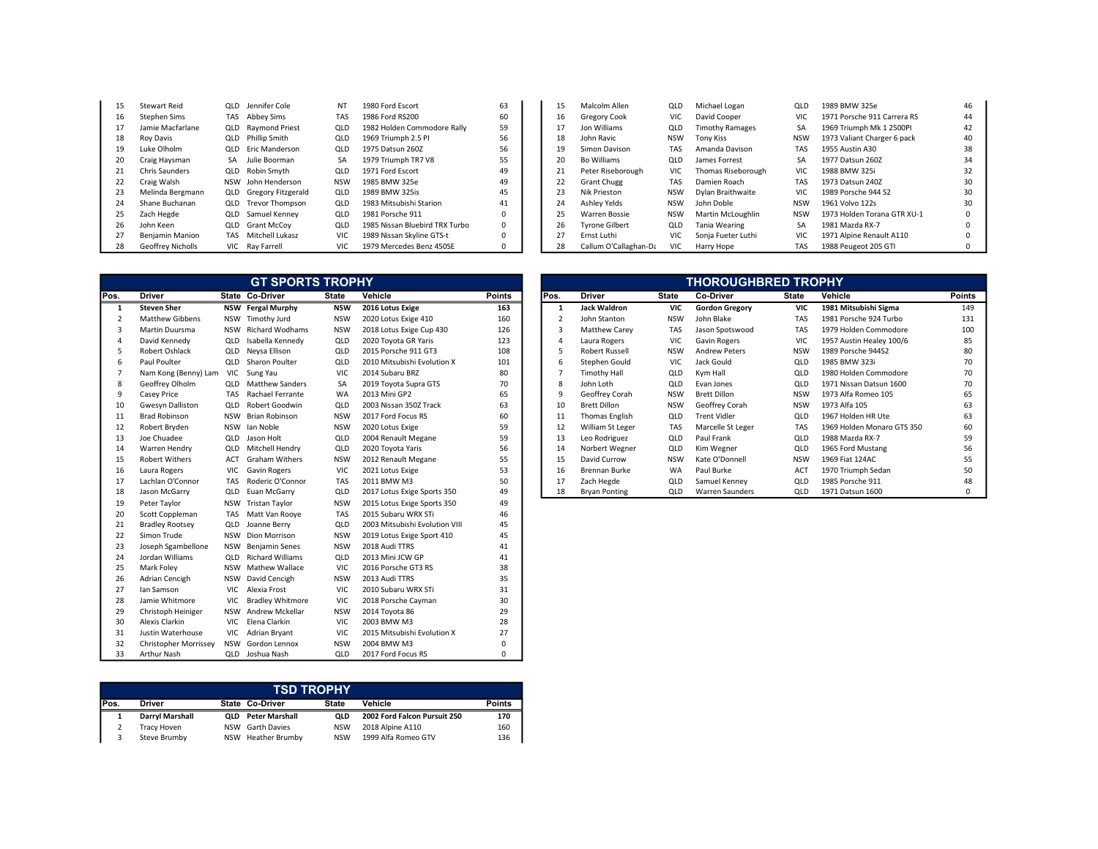| 15 | Stewart Reid           | QLD  | Jennifer Cole          | NT         | 1980 Ford Escort               | 63       |
|----|------------------------|------|------------------------|------------|--------------------------------|----------|
| 16 | <b>Stephen Sims</b>    | TAS  | Abbey Sims             | TAS        | 1986 Ford RS200                | 60       |
| 17 | Jamie Macfarlane       | QLD  | <b>Raymond Priest</b>  | QLD        | 1982 Holden Commodore Rally    | 59       |
| 18 | <b>Roy Davis</b>       | QLD  | <b>Phillip Smith</b>   | QLD        | 1969 Triumph 2.5 PI            | 56       |
| 19 | Luke Olholm            | QLD  | Eric Manderson         | QLD        | 1975 Datsun 260Z               | 56       |
| 20 | Craig Haysman          | SA   | Julie Boorman          | SA         | 1979 Triumph TR7 V8            | 55       |
| 21 | Chris Saunders         |      | QLD Robin Smyth        | QLD        | 1971 Ford Escort               | 49       |
| 22 | Craig Walsh            | NSW  | John Henderson         | <b>NSW</b> | 1985 BMW 325e                  | 49       |
| 23 | Melinda Bergmann       |      | QLD Gregory Fitzgerald | QLD        | 1989 BMW 325is                 | 45       |
| 24 | Shane Buchanan         |      | QLD Trevor Thompson    | QLD        | 1983 Mitsubishi Starion        | 41       |
| 25 | Zach Hegde             | QLD  | Samuel Kenney          | QLD        | 1981 Porsche 911               | $\Omega$ |
| 26 | John Keen              | QLD  | <b>Grant McCov</b>     | QLD        | 1985 Nissan Bluebird TRX Turbo | 0        |
| 27 | <b>Benjamin Manion</b> | TAS  | Mitchell Lukasz        | VIC.       | 1989 Nissan Skyline GTS-t      | 0        |
| 28 | Geoffrey Nicholls      | VIC. | Ray Farrell            | <b>VIC</b> | 1979 Mercedes Benz 450SE       | 0        |

| 15 | <b>Stewart Reid</b> | QLD Jennifer Cole         | NT         | 1980 Ford Escort               | 63       | 15 | Malcolm Allen         | QLD        | Michael Logan          | QLD        | 1989 BMW 325e               |    |
|----|---------------------|---------------------------|------------|--------------------------------|----------|----|-----------------------|------------|------------------------|------------|-----------------------------|----|
| 16 | Stephen Sims        | TAS Abbey Sims            | <b>TAS</b> | 1986 Ford RS200                | 60       | 16 | <b>Gregory Cook</b>   | VIC        | David Cooper           |            | 1971 Porsche 911 Carrera RS |    |
|    | Jamie Macfarlane    | <b>QLD</b> Raymond Priest | QLD        | 1982 Holden Commodore Rally    | 59       |    | Jon Williams          | QLD        | <b>Timothy Ramages</b> | SA         | 1969 Triumph Mk 1 2500PI    | 42 |
| 18 | Roy Davis           | <b>QLD</b> Phillip Smith  | QLD        | 1969 Triumph 2.5 PI            | 56       | 18 | John Ravic            | <b>NSW</b> | Tony Kiss              | <b>NSW</b> | 1973 Valiant Charger 6 pack | 40 |
| 19 | Luke Olholm         | <b>QLD</b> Eric Manderson | QLD        | 1975 Datsun 260Z               | 56       | 19 | Simon Davison         | TAS        | Amanda Davison         | TAS        | 1955 Austin A30             |    |
| 20 | Craig Havsman       | SA Julie Boorman          | SA         | 1979 Triumph TR7 V8            |          | 20 | Bo Williams           | QLD        | James Forrest          | SА         | 1977 Datsun 260Z            |    |
| 21 | Chris Saunders      | <b>QLD</b> Robin Smyth    | QLD        | 1971 Ford Escort               | 49       | 21 | Peter Riseborough     | VIC        | Thomas Riseborough     | VIC.       | 1988 BMW 325i               |    |
| 22 | Craig Walsh         | NSW John Henderson        | NSW        | 1985 BMW 325e                  | 49       | 22 | <b>Grant Chugg</b>    | <b>TAS</b> | Damien Roach           | TAS        | 1973 Datsun 240Z            |    |
| 23 | Melinda Bergmann    | QLD Gregory Fitzgerald    | QLD        | 1989 BMW 325is                 | 45       | 23 | Nik Prieston          | <b>NSW</b> | Dylan Braithwaite      |            | 1989 Porsche 944 S2         |    |
| 24 | Shane Buchanan      | QLD Trevor Thompson       | QLD        | 1983 Mitsubishi Starion        | 41       | 24 | Ashley Yelds          | NSW        | John Doble             | <b>NSW</b> | 1961 Volvo 122s             | 30 |
| 25 | Zach Hegde          | <b>QLD</b> Samuel Kenney  | QLD        | 1981 Porsche 911               |          | 25 | Warren Bossie         | <b>NSW</b> | Martin McLoughlin      | <b>NSW</b> | 1973 Holden Torana GTR XU-1 |    |
| 26 | John Keen           | <b>QLD</b> Grant McCov    | QLD        | 1985 Nissan Bluebird TRX Turbo | $\Omega$ | 26 | <b>Tyrone Gilbert</b> | QLD        | Tania Wearing          | SA         | 1981 Mazda RX-7             |    |
|    | Benjamin Manion     | TAS Mitchell Lukasz       |            | 1989 Nissan Skyline GTS-t      | $\Omega$ |    | Ernst Luthi           | VIC        | Sonia Fueter Luthi     |            | 1971 Alpine Renault A110    |    |
| 28 | Geoffrey Nicholls   | VIC Rav Farrell           | VIC.       | 1979 Mercedes Benz 450SE       | 0        | 28 | Callum O'Callaghan-Da | VIC        | Harry Hope             | TAS        | 1988 Peugeot 205 GTI        |    |

|                |                         |            | <b>GT SPORTS TROPHY</b>    |              |                                |               |                |                       |              | <b>THOROUGHBRED TROPHY</b> |              |        |
|----------------|-------------------------|------------|----------------------------|--------------|--------------------------------|---------------|----------------|-----------------------|--------------|----------------------------|--------------|--------|
| Pos.           | <b>Driver</b>           |            | State Co-Driver            | <b>State</b> | Vehicle                        | <b>Points</b> | Pos.           | <b>Driver</b>         | <b>State</b> | Co-Driver                  | <b>State</b> | Vehic  |
| 1              | <b>Steven Sher</b>      |            | <b>NSW</b> Fergal Murphy   | <b>NSW</b>   | 2016 Lotus Exige               | 163           | 1              | <b>Jack Waldron</b>   | <b>VIC</b>   | <b>Gordon Gregory</b>      | <b>VIC</b>   | 19811  |
| $\overline{2}$ | <b>Matthew Gibbens</b>  |            | NSW Timothy Jurd           | <b>NSW</b>   | 2020 Lotus Exige 410           | 160           | $\overline{2}$ | John Stanton          | <b>NSW</b>   | John Blake                 | TAS          | 1981 F |
| 3              | Martin Duursma          | NSW        | <b>Richard Wodhams</b>     | <b>NSW</b>   | 2018 Lotus Exige Cup 430       | 126           | $\overline{3}$ | Matthew Carey         | <b>TAS</b>   | Jason Spotswood            | <b>TAS</b>   | 1979 H |
| 4              | David Kennedy           | QLD        | Isabella Kennedy           | QLD          | 2020 Toyota GR Yaris           | 123           | $\overline{4}$ | Laura Rogers          | VIC          | <b>Gavin Rogers</b>        | VIC          | 1957/  |
| 5              | Robert Oshlack          | QLD        | Neysa Ellison              | QLD          | 2015 Porsche 911 GT3           | 108           | 5              | <b>Robert Russell</b> | <b>NSW</b>   | <b>Andrew Peters</b>       | <b>NSW</b>   | 1989 F |
| 6              | Paul Poulter            |            | QLD Sharon Poulter         | QLD          | 2010 Mitsubishi Evolution X    | 101           | 6              | Stephen Gould         | <b>VIC</b>   | Jack Gould                 | QLD          | 1985 E |
| 7              | Nam Kong (Benny) Lam    | <b>VIC</b> | Sung Yau                   | VIC          | 2014 Subaru BRZ                | 80            | $\overline{7}$ | <b>Timothy Hall</b>   | QLD          | Kym Hall                   | QLD          | 1980 H |
| 8              | Geoffrey Olholm         |            | <b>QLD</b> Matthew Sanders | SA           | 2019 Toyota Supra GTS          | 70            | 8              | John Loth             | <b>QLD</b>   | Evan Jones                 | QLD          | 1971   |
| 9              | <b>Casey Price</b>      | TAS        | Rachael Ferrante           | <b>WA</b>    | 2013 Mini GP2                  | 65            | 9              | Geoffrey Corah        | <b>NSW</b>   | <b>Brett Dillon</b>        | <b>NSW</b>   | 1973 / |
| 10             | <b>Gwesyn Dalliston</b> | QLD        | Robert Goodwin             | QLD          | 2003 Nissan 350Z Track         | 63            | 10             | <b>Brett Dillon</b>   | <b>NSW</b>   | Geoffrey Corah             | <b>NSW</b>   | 1973 / |
| 11             | <b>Brad Robinson</b>    | <b>NSW</b> | <b>Brian Robinson</b>      | <b>NSW</b>   | 2017 Ford Focus RS             | 60            | 11             | Thomas English        | QLD          | <b>Trent Vidler</b>        | QLD          | 1967 H |
| 12             | Robert Bryden           |            | NSW Ian Noble              | <b>NSW</b>   | 2020 Lotus Exige               | 59            | 12             | William St Leger      | <b>TAS</b>   | Marcelle St Leger          | <b>TAS</b>   | 1969 } |
| 13             | Joe Chuadee             | QLD        | Jason Holt                 | QLD          | 2004 Renault Megane            | 59            | 13             | Leo Rodriguez         | QLD          | Paul Frank                 | QLD          | 1988   |
| 14             | Warren Hendry           | QLD        | Mitchell Hendry            | QLD          | 2020 Toyota Yaris              | 56            | 14             | Norbert Wegner        | QLD          | Kim Wegner                 | QLD          | 1965 F |
| 15             | <b>Robert Withers</b>   | <b>ACT</b> | <b>Graham Withers</b>      | <b>NSW</b>   | 2012 Renault Megane            | 55            | 15             | David Currow          | <b>NSW</b>   | Kate O'Donnell             | <b>NSW</b>   | 1969 F |
| 16             | Laura Rogers            | <b>VIC</b> | <b>Gavin Rogers</b>        | VIC          | 2021 Lotus Exige               | 53            | 16             | Brennan Burke         | <b>WA</b>    | Paul Burke                 | ACT          | 19701  |
| 17             | Lachlan O'Connor        | <b>TAS</b> | Roderic O'Connor           | TAS          | 2011 BMW M3                    | 50            | 17             | Zach Hegde            | QLD          | Samuel Kenney              | QLD          | 1985 F |
| 18             | Jason McGarry           | QLD        | Euan McGarry               | QLD          | 2017 Lotus Exige Sports 350    | 49            | 18             | <b>Bryan Ponting</b>  | QLD          | <b>Warren Saunders</b>     | QLD          | 1971   |
| 19             | Peter Taylor            |            | NSW Tristan Taylor         | <b>NSW</b>   | 2015 Lotus Exige Sports 350    | 49            |                |                       |              |                            |              |        |
| 20             | Scott Coppleman         | TAS        | Matt Van Rooye             | TAS          | 2015 Subaru WRX STi            | 46            |                |                       |              |                            |              |        |
| 21             | <b>Bradley Rootsey</b>  | QLD        | Joanne Berry               | QLD          | 2003 Mitsubishi Evolution VIII | 45            |                |                       |              |                            |              |        |
| 22             | Simon Trude             | <b>NSW</b> | Dion Morrison              | <b>NSW</b>   | 2019 Lotus Exige Sport 410     | 45            |                |                       |              |                            |              |        |
| 23             | Joseph Sgambellone      | <b>NSW</b> | <b>Benjamin Senes</b>      | <b>NSW</b>   | 2018 Audi TTRS                 | 41            |                |                       |              |                            |              |        |
| 24             | Jordan Williams         | QLD        | <b>Richard Williams</b>    | QLD          | 2013 Mini JCW GP               | 41            |                |                       |              |                            |              |        |
| 25             | Mark Foley              | <b>NSW</b> | <b>Mathew Wallace</b>      | VIC          | 2016 Porsche GT3 RS            | 38            |                |                       |              |                            |              |        |
| 26             | Adrian Cencigh          | <b>NSW</b> | David Cencigh              | <b>NSW</b>   | 2013 Audi TTRS                 | 35            |                |                       |              |                            |              |        |
| 27             | Ian Samson              | <b>VIC</b> | Alexia Frost               | VIC          | 2010 Subaru WRX STi            | 31            |                |                       |              |                            |              |        |
| 28             | Jamie Whitmore          | <b>VIC</b> | <b>Bradley Whitmore</b>    | VIC          | 2018 Porsche Cayman            | 30            |                |                       |              |                            |              |        |
| 29             | Christoph Heiniger      |            | NSW Andrew Mckellar        | <b>NSW</b>   | 2014 Toyota 86                 | 29            |                |                       |              |                            |              |        |
| 30             | Alexis Clarkin          | <b>VIC</b> | Elena Clarkin              | VIC          | 2003 BMW M3                    | 28            |                |                       |              |                            |              |        |
| 31             | Justin Waterhouse       | <b>VIC</b> | Adrian Bryant              | VIC          | 2015 Mitsubishi Evolution X    | 27            |                |                       |              |                            |              |        |
| 32             | Christopher Morrissey   |            | NSW Gordon Lennox          | <b>NSW</b>   | 2004 BMW M3                    | 0             |                |                       |              |                            |              |        |
| 33             | Arthur Nash             |            | QLD Joshua Nash            | QLD          | 2017 Ford Focus RS             | $\Omega$      |                |                       |              |                            |              |        |

|      | <b>TSD TROPHY</b>      |  |                           |            |                              |               |  |  |  |  |
|------|------------------------|--|---------------------------|------------|------------------------------|---------------|--|--|--|--|
| Pos. | <b>Driver</b>          |  | State Co-Driver           | State      | Vehicle                      | <b>Points</b> |  |  |  |  |
|      | <b>Darryl Marshall</b> |  | <b>OLD</b> Peter Marshall | <b>OLD</b> | 2002 Ford Falcon Pursuit 250 | 170           |  |  |  |  |
|      | <b>Tracy Hoven</b>     |  | NSW Garth Davies          | <b>NSW</b> | 2018 Alpine A110             | 160           |  |  |  |  |
|      | Steve Brumby           |  | NSW Heather Brumby        | <b>NSW</b> | 1999 Alfa Romeo GTV          | 136           |  |  |  |  |

| <b>GT SPORTS TROPHY</b> |                         |  |                            |              |                             |        | THOROUGHBRED TROPHY |    |                      |              |                        |            |                            |        |
|-------------------------|-------------------------|--|----------------------------|--------------|-----------------------------|--------|---------------------|----|----------------------|--------------|------------------------|------------|----------------------------|--------|
| Pos.                    | <b>Driver</b>           |  | State Co-Driver            | <b>State</b> | Vehicle                     | Points | Pos.                |    | <b>Driver</b>        | <b>State</b> | <b>Co-Driver</b>       | State      | Vehicle                    | Points |
|                         | <b>Steven Sher</b>      |  | NSW Fergal Murphy          | <b>NSW</b>   | 2016 Lotus Exige            | 163    |                     |    | Jack Waldron         | VIC          | <b>Gordon Gregory</b>  | <b>VIC</b> | 1981 Mitsubishi Sigma      | 149    |
|                         | <b>Matthew Gibbens</b>  |  | NSW Timothy Jurd           | <b>NSW</b>   | 2020 Lotus Exige 410        | 160    |                     |    | John Stanton         | <b>NSW</b>   | John Blake             | <b>TAS</b> | 1981 Porsche 924 Turbo     | 131    |
|                         | Martin Duursma          |  | NSW Richard Wodhams        | <b>NSW</b>   | 2018 Lotus Exige Cup 430    | 126    |                     |    | <b>Matthew Carev</b> | <b>TAS</b>   | Jason Spotswood        | <b>TAS</b> | 1979 Holden Commodore      | 100    |
|                         | David Kennedy           |  | QLD Isabella Kennedy       | QLD          | 2020 Toyota GR Yaris        | 123    |                     |    | Laura Rogers         | VIC          | Gavin Rogers           | <b>VIC</b> | 1957 Austin Healey 100/6   | 85     |
|                         | Robert Oshlack          |  | <b>QLD</b> Nevsa Ellison   | QLD          | 2015 Porsche 911 GT3        | 108    |                     |    | Robert Russell       | <b>NSW</b>   | <b>Andrew Peters</b>   | <b>NSW</b> | 1989 Porsche 944S2         | 80     |
| 6                       | Paul Poulter            |  | QLD Sharon Poulter         | QLD          | 2010 Mitsubishi Evolution X | 101    |                     | 6  | Stephen Gould        | VIC.         | Jack Gould             | QLD        | 1985 BMW 323i              | 70     |
|                         | Nam Kong (Benny) Lam    |  | VIC Sung Yau               | <b>VIC</b>   | 2014 Subaru BRZ             | 80     |                     |    | Timothy Hall         | QLD          | Kym Hall               | QLD        | 1980 Holden Commodore      | 70     |
| 8                       | Geoffrey Olholm         |  | <b>QLD</b> Matthew Sanders | <b>SA</b>    | 2019 Toyota Supra GTS       |        |                     | 8  | John Loth            | QLD          | Evan Jones             | QLD        | 1971 Nissan Datsun 1600    | 70     |
|                         | Casey Price             |  | TAS Rachael Ferrante       | <b>WA</b>    | 2013 Mini GP2               | 65     |                     |    | Geoffrey Corah       | <b>NSW</b>   | <b>Brett Dillon</b>    | <b>NSW</b> | 1973 Alfa Romeo 105        | 65     |
| 10                      | <b>Gwesyn Dalliston</b> |  | QLD Robert Goodwin         | QLD          | 2003 Nissan 350Z Track      | 63     |                     | 10 | <b>Brett Dillon</b>  | <b>NSW</b>   | Geoffrey Corah         | <b>NSW</b> | 1973 Alfa 105              | 63     |
|                         | <b>Brad Robinson</b>    |  | NSW Brian Robinson         | <b>NSW</b>   | 2017 Ford Focus RS          | 60     |                     | 11 | Thomas English       | QLD          | <b>Trent Vidler</b>    | QLD        | 1967 Holden HR Ute         | 63     |
|                         | Robert Bryden           |  | NSW Ian Noble              | <b>NSW</b>   | 2020 Lotus Exige            | 59     |                     | 12 | William St Leger     | <b>TAS</b>   | Marcelle St Leger      | <b>TAS</b> | 1969 Holden Monaro GTS 350 | 60     |
| 13                      | Joe Chuadee             |  | <b>QLD</b> Jason Holt      | QLD          | 2004 Renault Megane         | 59     |                     | 13 | Leo Rodriguez        | QLD          | Paul Frank             | QLD        | 1988 Mazda RX-7            | 59     |
| 14                      | Warren Hendry           |  | <b>QLD</b> Mitchell Hendry | QLD          | 2020 Tovota Yaris           | 56     |                     | 14 | Norbert Wegner       | QLD          | Kim Wegner             | QLD        | 1965 Ford Mustang          | 56     |
| 15                      | <b>Robert Withers</b>   |  | <b>ACT</b> Graham Withers  | <b>NSW</b>   | 2012 Renault Megane         | 55     |                     | 15 | David Currow         | <b>NSW</b>   | Kate O'Donnell         | <b>NSW</b> | 1969 Fiat 124AC            | 55     |
| 16                      | Laura Rogers            |  | VIC Gavin Rogers           | <b>VIC</b>   | 2021 Lotus Exige            | 53     |                     | 16 | Brennan Burke        | <b>WA</b>    | Paul Burke             | <b>ACT</b> | 1970 Triumph Sedan         | 50     |
|                         | Lachlan O'Connor        |  | TAS Roderic O'Connor       | <b>TAS</b>   | 2011 BMW M3                 | 50     |                     | 17 | Zach Hegde           | QLD          | Samuel Kenney          | QLD        | 1985 Porsche 911           |        |
| 18                      | Jason McGarry           |  | QLD Euan McGarry           | QLD          | 2017 Lotus Exige Sports 350 | 49     |                     | 18 | <b>Bryan Ponting</b> | QLD          | <b>Warren Saunders</b> | QLD        | 1971 Datsun 1600           |        |